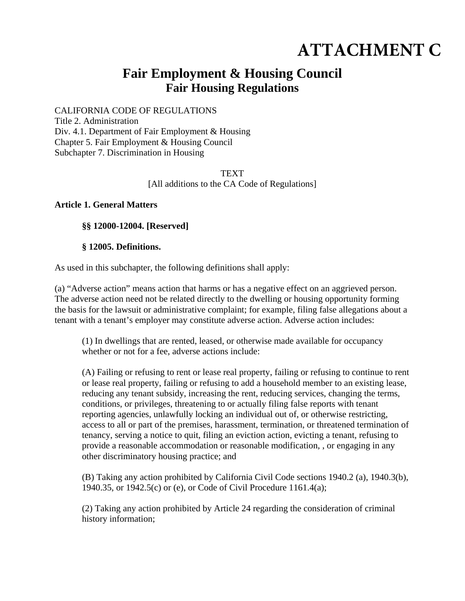# **ATTACHMENT C**

# **Fair Employment & Housing Council Fair Housing Regulations**

CALIFORNIA CODE OF REGULATIONS

Title 2. Administration Div. 4.1. Department of Fair Employment & Housing Chapter 5. Fair Employment & Housing Council Subchapter 7. Discrimination in Housing

> **TEXT** [All additions to the CA Code of Regulations]

#### **Article 1. General Matters**

#### **§§ 12000-12004. [Reserved]**

#### **§ 12005. Definitions.**

As used in this subchapter, the following definitions shall apply:

(a) "Adverse action" means action that harms or has a negative effect on an aggrieved person. The adverse action need not be related directly to the dwelling or housing opportunity forming the basis for the lawsuit or administrative complaint; for example, filing false allegations about a tenant with a tenant's employer may constitute adverse action. Adverse action includes:

(1) In dwellings that are rented, leased, or otherwise made available for occupancy whether or not for a fee, adverse actions include:

(A) Failing or refusing to rent or lease real property, failing or refusing to continue to rent or lease real property, failing or refusing to add a household member to an existing lease, reducing any tenant subsidy, increasing the rent, reducing services, changing the terms, conditions, or privileges, threatening to or actually filing false reports with tenant reporting agencies, unlawfully locking an individual out of, or otherwise restricting, access to all or part of the premises, harassment, termination, or threatened termination of tenancy, serving a notice to quit, filing an eviction action, evicting a tenant, refusing to provide a reasonable accommodation or reasonable modification, , or engaging in any other discriminatory housing practice; and

(B) Taking any action prohibited by California Civil Code sections 1940.2 (a), 1940.3(b), 1940.35, or 1942.5(c) or (e), or Code of Civil Procedure 1161.4(a);

(2) Taking any action prohibited by Article 24 regarding the consideration of criminal history information;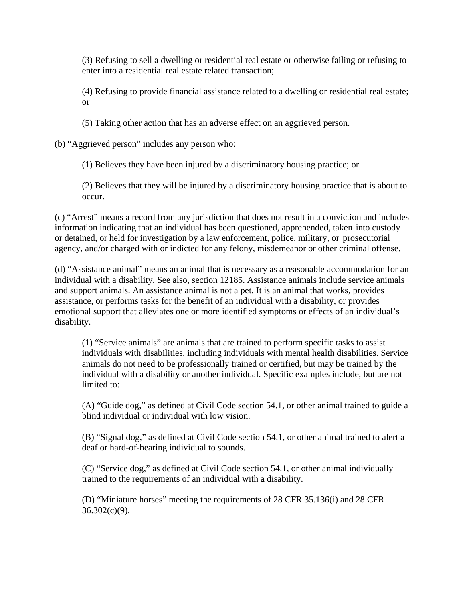(3) Refusing to sell a dwelling or residential real estate or otherwise failing or refusing to enter into a residential real estate related transaction;

(4) Refusing to provide financial assistance related to a dwelling or residential real estate; or

(5) Taking other action that has an adverse effect on an aggrieved person.

(b) "Aggrieved person" includes any person who:

(1) Believes they have been injured by a discriminatory housing practice; or

(2) Believes that they will be injured by a discriminatory housing practice that is about to occur.

(c) "Arrest" means a record from any jurisdiction that does not result in a conviction and includes information indicating that an individual has been questioned, apprehended, taken into custody or detained, or held for investigation by a law enforcement, police, military, or prosecutorial agency, and/or charged with or indicted for any felony, misdemeanor or other criminal offense.

(d) "Assistance animal" means an animal that is necessary as a reasonable accommodation for an individual with a disability. See also, section 12185. Assistance animals include service animals and support animals. An assistance animal is not a pet. It is an animal that works, provides assistance, or performs tasks for the benefit of an individual with a disability, or provides emotional support that alleviates one or more identified symptoms or effects of an individual's disability.

(1) "Service animals" are animals that are trained to perform specific tasks to assist individuals with disabilities, including individuals with mental health disabilities. Service animals do not need to be professionally trained or certified, but may be trained by the individual with a disability or another individual. Specific examples include, but are not limited to:

(A) "Guide dog," as defined at Civil Code section 54.1, or other animal trained to guide a blind individual or individual with low vision.

(B) "Signal dog," as defined at Civil Code section 54.1, or other animal trained to alert a deaf or hard-of-hearing individual to sounds.

(C) "Service dog," as defined at Civil Code section 54.1, or other animal individually trained to the requirements of an individual with a disability.

(D) "Miniature horses" meeting the requirements of 28 CFR 35.136(i) and 28 CFR  $36.302(c)(9)$ .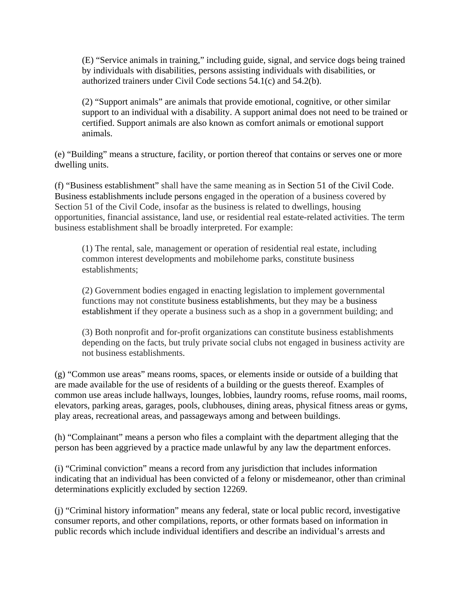(E) "Service animals in training," including guide, signal, and service dogs being trained by individuals with disabilities, persons assisting individuals with disabilities, or authorized trainers under Civil Code sections 54.1(c) and 54.2(b).

(2) "Support animals" are animals that provide emotional, cognitive, or other similar support to an individual with a disability. A support animal does not need to be trained or certified. Support animals are also known as comfort animals or emotional support animals.

(e) "Building" means a structure, facility, or portion thereof that contains or serves one or more dwelling units.

(f) "Business establishment" shall have the same meaning as in Section 51 of the Civil Code. Business establishments include persons engaged in the operation of a business covered by Section 51 of the Civil Code, insofar as the business is related to dwellings, housing opportunities, financial assistance, land use, or residential real estate-related activities. The term business establishment shall be broadly interpreted. For example:

(1) The rental, sale, management or operation of residential real estate, including common interest developments and mobilehome parks, constitute business establishments;

(2) Government bodies engaged in enacting legislation to implement governmental functions may not constitute business establishments, but they may be a business establishment if they operate a business such as a shop in a government building; and

(3) Both nonprofit and for-profit organizations can constitute business establishments depending on the facts, but truly private social clubs not engaged in business activity are not business establishments.

(g) "Common use areas" means rooms, spaces, or elements inside or outside of a building that are made available for the use of residents of a building or the guests thereof. Examples of common use areas include hallways, lounges, lobbies, laundry rooms, refuse rooms, mail rooms, elevators, parking areas, garages, pools, clubhouses, dining areas, physical fitness areas or gyms, play areas, recreational areas, and passageways among and between buildings.

(h) "Complainant" means a person who files a complaint with the department alleging that the person has been aggrieved by a practice made unlawful by any law the department enforces.

(i) "Criminal conviction" means a record from any jurisdiction that includes information indicating that an individual has been convicted of a felony or misdemeanor, other than criminal determinations explicitly excluded by section 12269.

(j) "Criminal history information" means any federal, state or local public record, investigative consumer reports, and other compilations, reports, or other formats based on information in public records which include individual identifiers and describe an individual's arrests and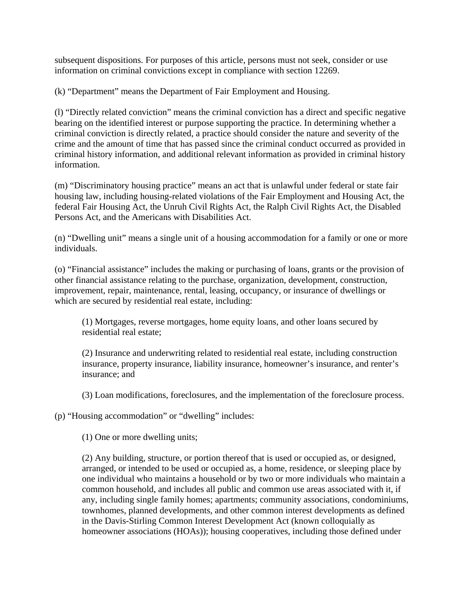subsequent dispositions. For purposes of this article, persons must not seek, consider or use information on criminal convictions except in compliance with section 12269.

(k) "Department" means the Department of Fair Employment and Housing.

(l) "Directly related conviction" means the criminal conviction has a direct and specific negative bearing on the identified interest or purpose supporting the practice. In determining whether a criminal conviction is directly related, a practice should consider the nature and severity of the crime and the amount of time that has passed since the criminal conduct occurred as provided in criminal history information, and additional relevant information as provided in criminal history information.

(m) "Discriminatory housing practice" means an act that is unlawful under federal or state fair housing law, including housing-related violations of the Fair Employment and Housing Act, the federal Fair Housing Act, the Unruh Civil Rights Act, the Ralph Civil Rights Act, the Disabled Persons Act, and the Americans with Disabilities Act.

(n) "Dwelling unit" means a single unit of a housing accommodation for a family or one or more individuals.

(o) "Financial assistance" includes the making or purchasing of loans, grants or the provision of other financial assistance relating to the purchase, organization, development, construction, improvement, repair, maintenance, rental, leasing, occupancy, or insurance of dwellings or which are secured by residential real estate, including:

(1) Mortgages, reverse mortgages, home equity loans, and other loans secured by residential real estate;

(2) Insurance and underwriting related to residential real estate, including construction insurance, property insurance, liability insurance, homeowner's insurance, and renter's insurance; and

(3) Loan modifications, foreclosures, and the implementation of the foreclosure process.

(p) "Housing accommodation" or "dwelling" includes:

(1) One or more dwelling units;

(2) Any building, structure, or portion thereof that is used or occupied as, or designed, arranged, or intended to be used or occupied as, a home, residence, or sleeping place by one individual who maintains a household or by two or more individuals who maintain a common household, and includes all public and common use areas associated with it, if any, including single family homes; apartments; community associations, condominiums, townhomes, planned developments, and other common interest developments as defined in the Davis-Stirling Common Interest Development Act (known colloquially as homeowner associations (HOAs)); housing cooperatives, including those defined under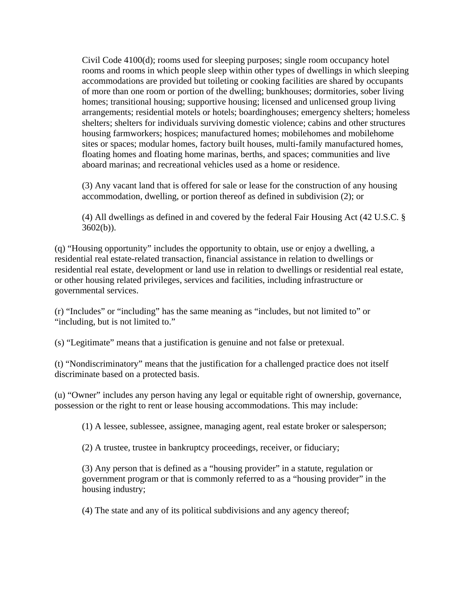Civil Code 4100(d); rooms used for sleeping purposes; single room occupancy hotel rooms and rooms in which people sleep within other types of dwellings in which sleeping accommodations are provided but toileting or cooking facilities are shared by occupants of more than one room or portion of the dwelling; bunkhouses; dormitories, sober living homes; transitional housing; supportive housing; licensed and unlicensed group living arrangements; residential motels or hotels; boardinghouses; emergency shelters; homeless shelters; shelters for individuals surviving domestic violence; cabins and other structures housing farmworkers; hospices; manufactured homes; mobilehomes and mobilehome sites or spaces; modular homes, factory built houses, multi-family manufactured homes, floating homes and floating home marinas, berths, and spaces; communities and live aboard marinas; and recreational vehicles used as a home or residence.

(3) Any vacant land that is offered for sale or lease for the construction of any housing accommodation, dwelling, or portion thereof as defined in subdivision (2); or

(4) All dwellings as defined in and covered by the federal Fair Housing Act (42 U.S.C. §  $3602(b)$ ).

(q) "Housing opportunity" includes the opportunity to obtain, use or enjoy a dwelling, a residential real estate-related transaction, financial assistance in relation to dwellings or residential real estate, development or land use in relation to dwellings or residential real estate, or other housing related privileges, services and facilities, including infrastructure or governmental services.

(r) "Includes" or "including" has the same meaning as "includes, but not limited to" or "including, but is not limited to."

(s) "Legitimate" means that a justification is genuine and not false or pretexual.

(t) "Nondiscriminatory" means that the justification for a challenged practice does not itself discriminate based on a protected basis.

(u) "Owner" includes any person having any legal or equitable right of ownership, governance, possession or the right to rent or lease housing accommodations. This may include:

(1) A lessee, sublessee, assignee, managing agent, real estate broker or salesperson;

(2) A trustee, trustee in bankruptcy proceedings, receiver, or fiduciary;

(3) Any person that is defined as a "housing provider" in a statute, regulation or government program or that is commonly referred to as a "housing provider" in the housing industry;

(4) The state and any of its political subdivisions and any agency thereof;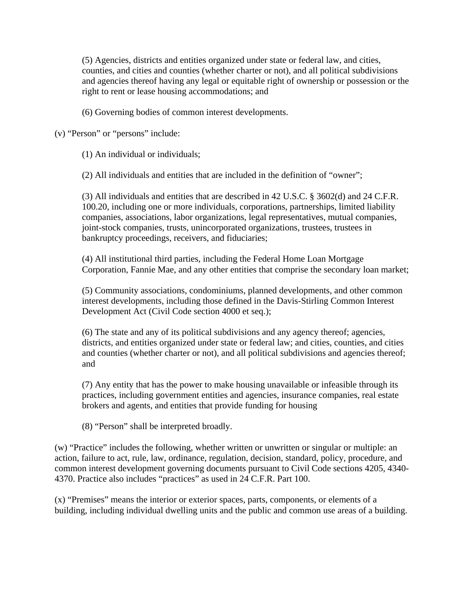(5) Agencies, districts and entities organized under state or federal law, and cities, counties, and cities and counties (whether charter or not), and all political subdivisions and agencies thereof having any legal or equitable right of ownership or possession or the right to rent or lease housing accommodations; and

(6) Governing bodies of common interest developments.

(v) "Person" or "persons" include:

(1) An individual or individuals;

(2) All individuals and entities that are included in the definition of "owner";

(3) All individuals and entities that are described in 42 U.S.C. § 3602(d) and 24 C.F.R. 100.20, including one or more individuals, corporations, partnerships, limited liability companies, associations, labor organizations, legal representatives, mutual companies, joint-stock companies, trusts, unincorporated organizations, trustees, trustees in bankruptcy proceedings, receivers, and fiduciaries;

(4) All institutional third parties, including the Federal Home Loan Mortgage Corporation, Fannie Mae, and any other entities that comprise the secondary loan market;

(5) Community associations, condominiums, planned developments, and other common interest developments, including those defined in the Davis-Stirling Common Interest Development Act (Civil Code section 4000 et seq.);

(6) The state and any of its political subdivisions and any agency thereof; agencies, districts, and entities organized under state or federal law; and cities, counties, and cities and counties (whether charter or not), and all political subdivisions and agencies thereof; and

(7) Any entity that has the power to make housing unavailable or infeasible through its practices, including government entities and agencies, insurance companies, real estate brokers and agents, and entities that provide funding for housing

(8) "Person" shall be interpreted broadly.

(w) "Practice" includes the following, whether written or unwritten or singular or multiple: an action, failure to act, rule, law, ordinance, regulation, decision, standard, policy, procedure, and common interest development governing documents pursuant to Civil Code sections 4205, 4340- 4370. Practice also includes "practices" as used in 24 C.F.R. Part 100.

(x) "Premises" means the interior or exterior spaces, parts, components, or elements of a building, including individual dwelling units and the public and common use areas of a building.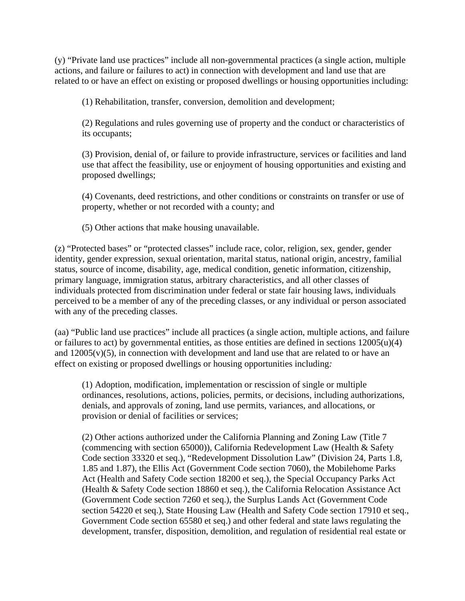(y) "Private land use practices" include all non-governmental practices (a single action, multiple actions, and failure or failures to act) in connection with development and land use that are related to or have an effect on existing or proposed dwellings or housing opportunities including:

(1) Rehabilitation, transfer, conversion, demolition and development;

(2) Regulations and rules governing use of property and the conduct or characteristics of its occupants;

(3) Provision, denial of, or failure to provide infrastructure, services or facilities and land use that affect the feasibility, use or enjoyment of housing opportunities and existing and proposed dwellings;

(4) Covenants, deed restrictions, and other conditions or constraints on transfer or use of property, whether or not recorded with a county; and

(5) Other actions that make housing unavailable.

(z) "Protected bases" or "protected classes" include race, color, religion, sex, gender, gender identity, gender expression, sexual orientation, marital status, national origin, ancestry, familial status, source of income, disability, age, medical condition, genetic information, citizenship, primary language, immigration status, arbitrary characteristics, and all other classes of individuals protected from discrimination under federal or state fair housing laws, individuals perceived to be a member of any of the preceding classes, or any individual or person associated with any of the preceding classes.

(aa) "Public land use practices" include all practices (a single action, multiple actions, and failure or failures to act) by governmental entities, as those entities are defined in sections 12005(u)(4) and  $12005(v)(5)$ , in connection with development and land use that are related to or have an effect on existing or proposed dwellings or housing opportunities including*:*

(1) Adoption, modification, implementation or rescission of single or multiple ordinances, resolutions, actions, policies, permits, or decisions, including authorizations, denials, and approvals of zoning, land use permits, variances, and allocations, or provision or denial of facilities or services;

(2) Other actions authorized under the California Planning and Zoning Law (Title 7 (commencing with section 65000)), California Redevelopment Law (Health & Safety Code section 33320 et seq.), "Redevelopment Dissolution Law" (Division 24, Parts 1.8, 1.85 and 1.87), the Ellis Act (Government Code section 7060), the Mobilehome Parks Act (Health and Safety Code section 18200 et seq.), the Special Occupancy Parks Act (Health & Safety Code section 18860 et seq.), the California Relocation Assistance Act (Government Code section 7260 et seq.), the Surplus Lands Act (Government Code section 54220 et seq.), State Housing Law (Health and Safety Code section 17910 et seq., Government Code section 65580 et seq.) and other federal and state laws regulating the development, transfer, disposition, demolition, and regulation of residential real estate or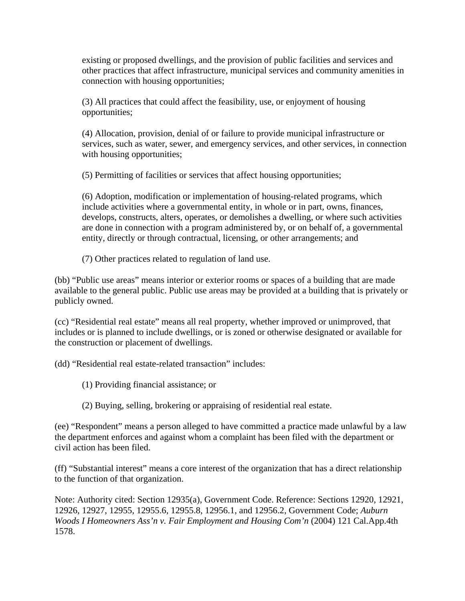existing or proposed dwellings, and the provision of public facilities and services and other practices that affect infrastructure, municipal services and community amenities in connection with housing opportunities;

(3) All practices that could affect the feasibility, use, or enjoyment of housing opportunities;

(4) Allocation, provision, denial of or failure to provide municipal infrastructure or services, such as water, sewer, and emergency services, and other services, in connection with housing opportunities;

(5) Permitting of facilities or services that affect housing opportunities;

(6) Adoption, modification or implementation of housing-related programs, which include activities where a governmental entity, in whole or in part, owns, finances, develops, constructs, alters, operates, or demolishes a dwelling, or where such activities are done in connection with a program administered by, or on behalf of, a governmental entity, directly or through contractual, licensing, or other arrangements; and

(7) Other practices related to regulation of land use.

(bb) "Public use areas" means interior or exterior rooms or spaces of a building that are made available to the general public. Public use areas may be provided at a building that is privately or publicly owned.

(cc) "Residential real estate" means all real property, whether improved or unimproved, that includes or is planned to include dwellings, or is zoned or otherwise designated or available for the construction or placement of dwellings.

(dd) "Residential real estate-related transaction" includes:

(1) Providing financial assistance; or

(2) Buying, selling, brokering or appraising of residential real estate.

(ee) "Respondent" means a person alleged to have committed a practice made unlawful by a law the department enforces and against whom a complaint has been filed with the department or civil action has been filed.

(ff) "Substantial interest" means a core interest of the organization that has a direct relationship to the function of that organization.

Note: Authority cited: Section 12935(a), Government Code. Reference: Sections 12920, 12921, 12926, 12927, 12955, 12955.6, 12955.8, 12956.1, and 12956.2, Government Code; *Auburn Woods I Homeowners Ass'n v. Fair Employment and Housing Com'n* (2004) 121 Cal.App.4th 1578.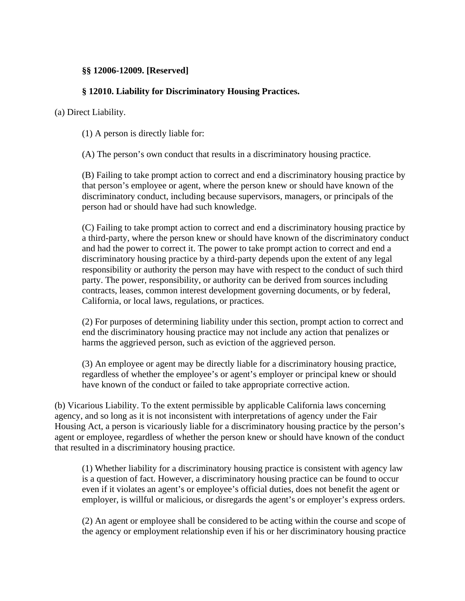#### **§§ 12006-12009. [Reserved]**

#### **§ 12010. Liability for Discriminatory Housing Practices.**

(a) Direct Liability.

(1) A person is directly liable for:

(A) The person's own conduct that results in a discriminatory housing practice.

(B) Failing to take prompt action to correct and end a discriminatory housing practice by that person's employee or agent, where the person knew or should have known of the discriminatory conduct, including because supervisors, managers, or principals of the person had or should have had such knowledge.

(C) Failing to take prompt action to correct and end a discriminatory housing practice by a third-party, where the person knew or should have known of the discriminatory conduct and had the power to correct it. The power to take prompt action to correct and end a discriminatory housing practice by a third-party depends upon the extent of any legal responsibility or authority the person may have with respect to the conduct of such third party. The power, responsibility, or authority can be derived from sources including contracts, leases, common interest development governing documents, or by federal, California, or local laws, regulations, or practices.

(2) For purposes of determining liability under this section, prompt action to correct and end the discriminatory housing practice may not include any action that penalizes or harms the aggrieved person, such as eviction of the aggrieved person.

(3) An employee or agent may be directly liable for a discriminatory housing practice, regardless of whether the employee's or agent's employer or principal knew or should have known of the conduct or failed to take appropriate corrective action.

(b) Vicarious Liability. To the extent permissible by applicable California laws concerning agency, and so long as it is not inconsistent with interpretations of agency under the Fair Housing Act, a person is vicariously liable for a discriminatory housing practice by the person's agent or employee, regardless of whether the person knew or should have known of the conduct that resulted in a discriminatory housing practice.

(1) Whether liability for a discriminatory housing practice is consistent with agency law is a question of fact. However, a discriminatory housing practice can be found to occur even if it violates an agent's or employee's official duties, does not benefit the agent or employer, is willful or malicious, or disregards the agent's or employer's express orders.

(2) An agent or employee shall be considered to be acting within the course and scope of the agency or employment relationship even if his or her discriminatory housing practice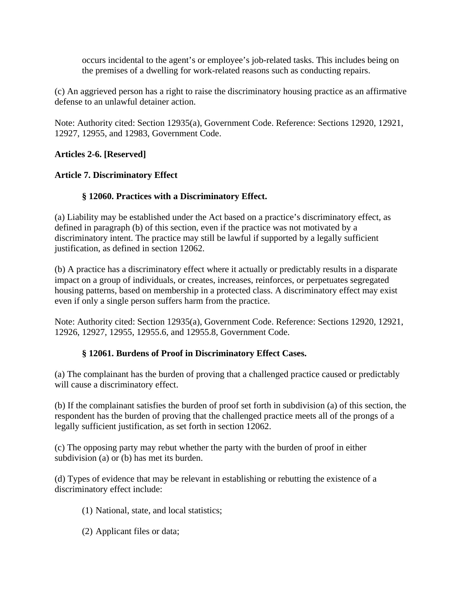occurs incidental to the agent's or employee's job-related tasks. This includes being on the premises of a dwelling for work-related reasons such as conducting repairs.

(c) An aggrieved person has a right to raise the discriminatory housing practice as an affirmative defense to an unlawful detainer action.

Note: Authority cited: Section 12935(a), Government Code. Reference: Sections 12920, 12921, 12927, 12955, and 12983, Government Code.

# **Articles 2-6. [Reserved]**

#### **Article 7. Discriminatory Effect**

# **§ 12060. Practices with a Discriminatory Effect.**

(a) Liability may be established under the Act based on a practice's discriminatory effect, as defined in paragraph (b) of this section, even if the practice was not motivated by a discriminatory intent. The practice may still be lawful if supported by a legally sufficient justification, as defined in section 12062.

(b) A practice has a discriminatory effect where it actually or predictably results in a disparate impact on a group of individuals, or creates, increases, reinforces, or perpetuates segregated housing patterns, based on membership in a protected class. A discriminatory effect may exist even if only a single person suffers harm from the practice.

Note: Authority cited: Section 12935(a), Government Code. Reference: Sections 12920, 12921, 12926, 12927, 12955, 12955.6, and 12955.8, Government Code.

#### **§ 12061. Burdens of Proof in Discriminatory Effect Cases.**

(a) The complainant has the burden of proving that a challenged practice caused or predictably will cause a discriminatory effect.

(b) If the complainant satisfies the burden of proof set forth in subdivision (a) of this section, the respondent has the burden of proving that the challenged practice meets all of the prongs of a legally sufficient justification, as set forth in section 12062.

(c) The opposing party may rebut whether the party with the burden of proof in either subdivision (a) or (b) has met its burden.

(d) Types of evidence that may be relevant in establishing or rebutting the existence of a discriminatory effect include:

- (1) National, state, and local statistics;
- (2) Applicant files or data;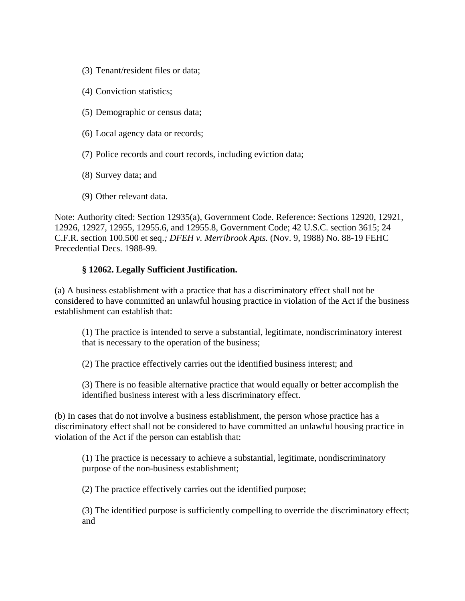- (3) Tenant/resident files or data;
- (4) Conviction statistics;
- (5) Demographic or census data;
- (6) Local agency data or records;
- (7) Police records and court records, including eviction data;
- (8) Survey data; and
- (9) Other relevant data.

Note: Authority cited: Section 12935(a), Government Code. Reference: Sections 12920, 12921, 12926, 12927, 12955, 12955.6, and 12955.8, Government Code; 42 U.S.C. section 3615; 24 C.F.R. section 100.500 et seq.*; DFEH v. Merribrook Apts.* (Nov. 9, 1988) No. 88-19 FEHC Precedential Decs. 1988-99*.*

#### **§ 12062. Legally Sufficient Justification.**

(a) A business establishment with a practice that has a discriminatory effect shall not be considered to have committed an unlawful housing practice in violation of the Act if the business establishment can establish that:

(1) The practice is intended to serve a substantial, legitimate, nondiscriminatory interest that is necessary to the operation of the business;

(2) The practice effectively carries out the identified business interest; and

(3) There is no feasible alternative practice that would equally or better accomplish the identified business interest with a less discriminatory effect.

(b) In cases that do not involve a business establishment, the person whose practice has a discriminatory effect shall not be considered to have committed an unlawful housing practice in violation of the Act if the person can establish that:

(1) The practice is necessary to achieve a substantial, legitimate, nondiscriminatory purpose of the non-business establishment;

(2) The practice effectively carries out the identified purpose;

(3) The identified purpose is sufficiently compelling to override the discriminatory effect; and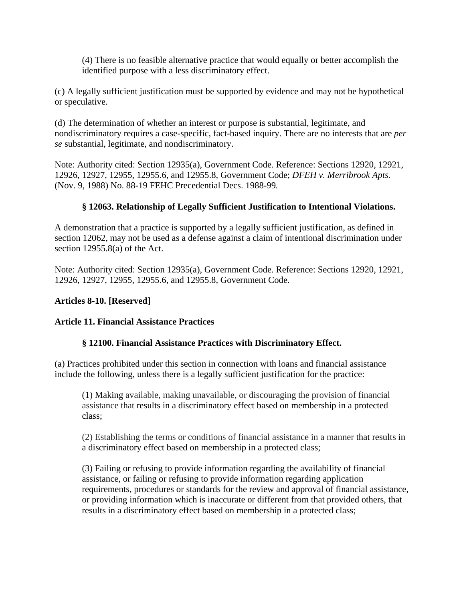(4) There is no feasible alternative practice that would equally or better accomplish the identified purpose with a less discriminatory effect.

(c) A legally sufficient justification must be supported by evidence and may not be hypothetical or speculative.

(d) The determination of whether an interest or purpose is substantial, legitimate, and nondiscriminatory requires a case-specific, fact-based inquiry. There are no interests that are *per se* substantial, legitimate, and nondiscriminatory.

Note: Authority cited: Section 12935(a), Government Code. Reference: Sections 12920, 12921, 12926, 12927, 12955, 12955.6, and 12955.8, Government Code; *DFEH v. Merribrook Apts.*  (Nov. 9, 1988) No. 88-19 FEHC Precedential Decs. 1988-99*.*

# **§ 12063. Relationship of Legally Sufficient Justification to Intentional Violations.**

A demonstration that a practice is supported by a legally sufficient justification, as defined in section 12062, may not be used as a defense against a claim of intentional discrimination under section 12955.8(a) of the Act.

Note: Authority cited: Section 12935(a), Government Code. Reference: Sections 12920, 12921, 12926, 12927, 12955, 12955.6, and 12955.8, Government Code.

#### **Articles 8-10. [Reserved]**

#### **Article 11. Financial Assistance Practices**

#### **§ 12100. Financial Assistance Practices with Discriminatory Effect.**

(a) Practices prohibited under this section in connection with loans and financial assistance include the following, unless there is a legally sufficient justification for the practice:

(1) Making available, making unavailable, or discouraging the provision of financial assistance that results in a discriminatory effect based on membership in a protected class;

(2) Establishing the terms or conditions of financial assistance in a manner that results in a discriminatory effect based on membership in a protected class;

(3) Failing or refusing to provide information regarding the availability of financial assistance, or failing or refusing to provide information regarding application requirements, procedures or standards for the review and approval of financial assistance, or providing information which is inaccurate or different from that provided others, that results in a discriminatory effect based on membership in a protected class;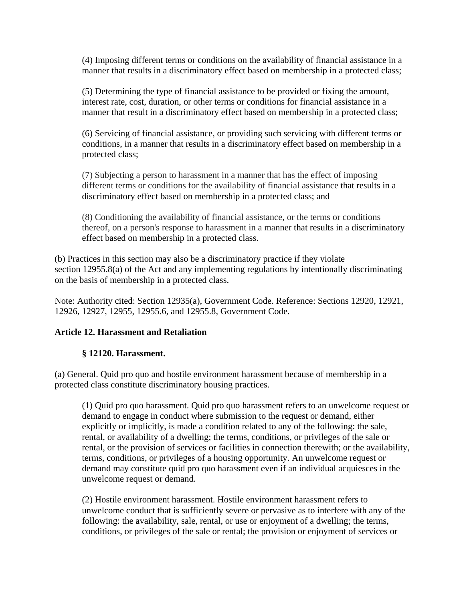(4) Imposing different terms or conditions on the availability of financial assistance in a manner that results in a discriminatory effect based on membership in a protected class;

(5) Determining the type of financial assistance to be provided or fixing the amount, interest rate, cost, duration, or other terms or conditions for financial assistance in a manner that result in a discriminatory effect based on membership in a protected class;

(6) Servicing of financial assistance, or providing such servicing with different terms or conditions, in a manner that results in a discriminatory effect based on membership in a protected class;

(7) Subjecting a person to harassment in a manner that has the effect of imposing different terms or conditions for the availability of financial assistance that results in a discriminatory effect based on membership in a protected class; and

(8) Conditioning the availability of financial assistance, or the terms or conditions thereof, on a person's response to harassment in a manner that results in a discriminatory effect based on membership in a protected class.

(b) Practices in this section may also be a discriminatory practice if they violate section 12955.8(a) of the Act and any implementing regulations by intentionally discriminating on the basis of membership in a protected class.

Note: Authority cited: Section 12935(a), Government Code. Reference: Sections 12920, 12921, 12926, 12927, 12955, 12955.6, and 12955.8, Government Code.

#### **Article 12. Harassment and Retaliation**

#### **§ 12120. Harassment.**

(a) General. Quid pro quo and hostile environment harassment because of membership in a protected class constitute discriminatory housing practices.

(1) Quid pro quo harassment. Quid pro quo harassment refers to an unwelcome request or demand to engage in conduct where submission to the request or demand, either explicitly or implicitly, is made a condition related to any of the following: the sale, rental, or availability of a dwelling; the terms, conditions, or privileges of the sale or rental, or the provision of services or facilities in connection therewith; or the availability, terms, conditions, or privileges of a housing opportunity. An unwelcome request or demand may constitute quid pro quo harassment even if an individual acquiesces in the unwelcome request or demand.

(2) Hostile environment harassment. Hostile environment harassment refers to unwelcome conduct that is sufficiently severe or pervasive as to interfere with any of the following: the availability, sale, rental, or use or enjoyment of a dwelling; the terms, conditions, or privileges of the sale or rental; the provision or enjoyment of services or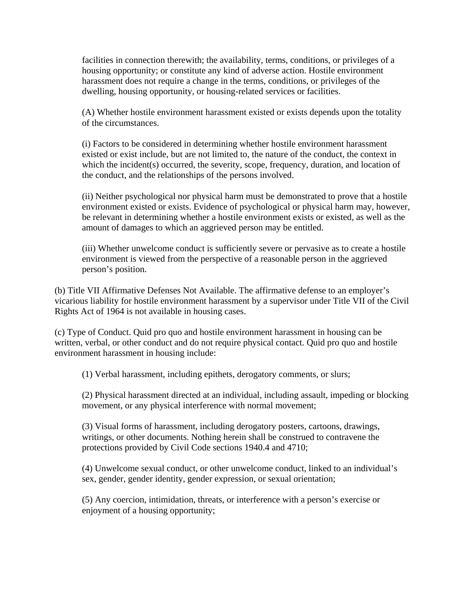facilities in connection therewith; the availability, terms, conditions, or privileges of a housing opportunity; or constitute any kind of adverse action. Hostile environment harassment does not require a change in the terms, conditions, or privileges of the dwelling, housing opportunity, or housing-related services or facilities.

(A) Whether hostile environment harassment existed or exists depends upon the totality of the circumstances.

(i) Factors to be considered in determining whether hostile environment harassment existed or exist include, but are not limited to, the nature of the conduct, the context in which the incident(s) occurred, the severity, scope, frequency, duration, and location of the conduct, and the relationships of the persons involved.

(ii) Neither psychological nor physical harm must be demonstrated to prove that a hostile environment existed or exists. Evidence of psychological or physical harm may, however, be relevant in determining whether a hostile environment exists or existed, as well as the amount of damages to which an aggrieved person may be entitled.

(iii) Whether unwelcome conduct is sufficiently severe or pervasive as to create a hostile environment is viewed from the perspective of a reasonable person in the aggrieved person's position.

(b) Title VII Affirmative Defenses Not Available. The affirmative defense to an employer's vicarious liability for hostile environment harassment by a supervisor under Title VII of the Civil Rights Act of 1964 is not available in housing cases.

(c) Type of Conduct. Quid pro quo and hostile environment harassment in housing can be written, verbal, or other conduct and do not require physical contact. Quid pro quo and hostile environment harassment in housing include:

(1) Verbal harassment, including epithets, derogatory comments, or slurs;

(2) Physical harassment directed at an individual, including assault, impeding or blocking movement, or any physical interference with normal movement;

(3) Visual forms of harassment, including derogatory posters, cartoons, drawings, writings, or other documents. Nothing herein shall be construed to contravene the protections provided by Civil Code sections 1940.4 and 4710;

(4) Unwelcome sexual conduct, or other unwelcome conduct, linked to an individual's sex, gender, gender identity, gender expression, or sexual orientation;

(5) Any coercion, intimidation, threats, or interference with a person's exercise or enjoyment of a housing opportunity;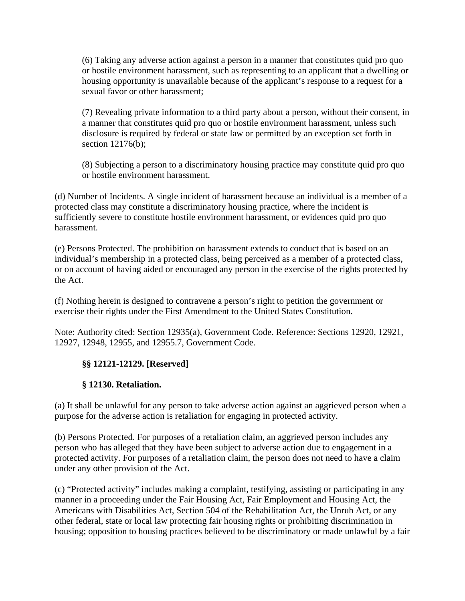(6) Taking any adverse action against a person in a manner that constitutes quid pro quo or hostile environment harassment, such as representing to an applicant that a dwelling or housing opportunity is unavailable because of the applicant's response to a request for a sexual favor or other harassment;

(7) Revealing private information to a third party about a person, without their consent, in a manner that constitutes quid pro quo or hostile environment harassment, unless such disclosure is required by federal or state law or permitted by an exception set forth in section 12176(b);

(8) Subjecting a person to a discriminatory housing practice may constitute quid pro quo or hostile environment harassment.

(d) Number of Incidents. A single incident of harassment because an individual is a member of a protected class may constitute a discriminatory housing practice, where the incident is sufficiently severe to constitute hostile environment harassment, or evidences quid pro quo harassment.

(e) Persons Protected. The prohibition on harassment extends to conduct that is based on an individual's membership in a protected class, being perceived as a member of a protected class, or on account of having aided or encouraged any person in the exercise of the rights protected by the Act.

(f) Nothing herein is designed to contravene a person's right to petition the government or exercise their rights under the First Amendment to the United States Constitution.

Note: Authority cited: Section 12935(a), Government Code. Reference: Sections 12920, 12921, 12927, 12948, 12955, and 12955.7, Government Code.

#### **§§ 12121-12129. [Reserved]**

#### **§ 12130. Retaliation.**

(a) It shall be unlawful for any person to take adverse action against an aggrieved person when a purpose for the adverse action is retaliation for engaging in protected activity.

(b) Persons Protected. For purposes of a retaliation claim, an aggrieved person includes any person who has alleged that they have been subject to adverse action due to engagement in a protected activity. For purposes of a retaliation claim, the person does not need to have a claim under any other provision of the Act.

(c) "Protected activity" includes making a complaint, testifying, assisting or participating in any manner in a proceeding under the Fair Housing Act, Fair Employment and Housing Act, the Americans with Disabilities Act, Section 504 of the Rehabilitation Act, the Unruh Act, or any other federal, state or local law protecting fair housing rights or prohibiting discrimination in housing; opposition to housing practices believed to be discriminatory or made unlawful by a fair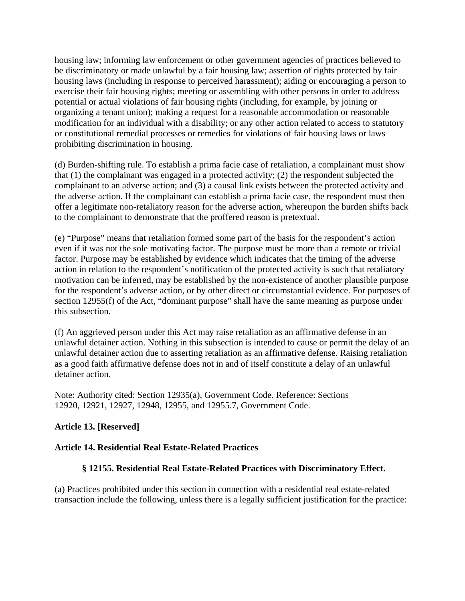housing law; informing law enforcement or other government agencies of practices believed to be discriminatory or made unlawful by a fair housing law; assertion of rights protected by fair housing laws (including in response to perceived harassment); aiding or encouraging a person to exercise their fair housing rights; meeting or assembling with other persons in order to address potential or actual violations of fair housing rights (including, for example, by joining or organizing a tenant union); making a request for a reasonable accommodation or reasonable modification for an individual with a disability; or any other action related to access to statutory or constitutional remedial processes or remedies for violations of fair housing laws or laws prohibiting discrimination in housing.

(d) Burden-shifting rule. To establish a prima facie case of retaliation, a complainant must show that (1) the complainant was engaged in a protected activity; (2) the respondent subjected the complainant to an adverse action; and (3) a causal link exists between the protected activity and the adverse action. If the complainant can establish a prima facie case, the respondent must then offer a legitimate non-retaliatory reason for the adverse action, whereupon the burden shifts back to the complainant to demonstrate that the proffered reason is pretextual.

(e) "Purpose" means that retaliation formed some part of the basis for the respondent's action even if it was not the sole motivating factor. The purpose must be more than a remote or trivial factor. Purpose may be established by evidence which indicates that the timing of the adverse action in relation to the respondent's notification of the protected activity is such that retaliatory motivation can be inferred, may be established by the non-existence of another plausible purpose for the respondent's adverse action, or by other direct or circumstantial evidence. For purposes of section 12955(f) of the Act, "dominant purpose" shall have the same meaning as purpose under this subsection.

(f) An aggrieved person under this Act may raise retaliation as an affirmative defense in an unlawful detainer action. Nothing in this subsection is intended to cause or permit the delay of an unlawful detainer action due to asserting retaliation as an affirmative defense. Raising retaliation as a good faith affirmative defense does not in and of itself constitute a delay of an unlawful detainer action.

Note: Authority cited: Section 12935(a), Government Code. Reference: Sections 12920, 12921, 12927, 12948, 12955, and 12955.7, Government Code.

# **Article 13. [Reserved]**

#### **Article 14. Residential Real Estate-Related Practices**

#### **§ 12155. Residential Real Estate-Related Practices with Discriminatory Effect.**

(a) Practices prohibited under this section in connection with a residential real estate-related transaction include the following, unless there is a legally sufficient justification for the practice: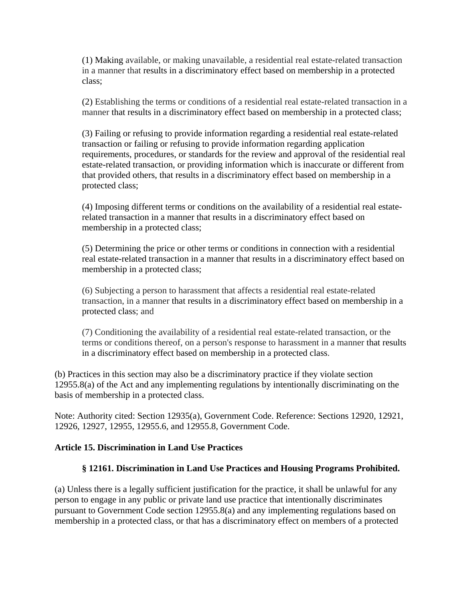(1) Making available, or making unavailable, a residential real estate-related transaction in a manner that results in a discriminatory effect based on membership in a protected class;

(2) Establishing the terms or conditions of a residential real estate-related transaction in a manner that results in a discriminatory effect based on membership in a protected class;

(3) Failing or refusing to provide information regarding a residential real estate-related transaction or failing or refusing to provide information regarding application requirements, procedures, or standards for the review and approval of the residential real estate-related transaction, or providing information which is inaccurate or different from that provided others, that results in a discriminatory effect based on membership in a protected class;

(4) Imposing different terms or conditions on the availability of a residential real estaterelated transaction in a manner that results in a discriminatory effect based on membership in a protected class;

(5) Determining the price or other terms or conditions in connection with a residential real estate-related transaction in a manner that results in a discriminatory effect based on membership in a protected class;

(6) Subjecting a person to harassment that affects a residential real estate-related transaction, in a manner that results in a discriminatory effect based on membership in a protected class; and

(7) Conditioning the availability of a residential real estate-related transaction, or the terms or conditions thereof, on a person's response to harassment in a manner that results in a discriminatory effect based on membership in a protected class.

(b) Practices in this section may also be a discriminatory practice if they violate section 12955.8(a) of the Act and any implementing regulations by intentionally discriminating on the basis of membership in a protected class.

Note: Authority cited: Section 12935(a), Government Code. Reference: Sections 12920, 12921, 12926, 12927, 12955, 12955.6, and 12955.8, Government Code.

#### **Article 15. Discrimination in Land Use Practices**

#### **§ 12161. Discrimination in Land Use Practices and Housing Programs Prohibited.**

(a) Unless there is a legally sufficient justification for the practice, it shall be unlawful for any person to engage in any public or private land use practice that intentionally discriminates pursuant to Government Code section 12955.8(a) and any implementing regulations based on membership in a protected class, or that has a discriminatory effect on members of a protected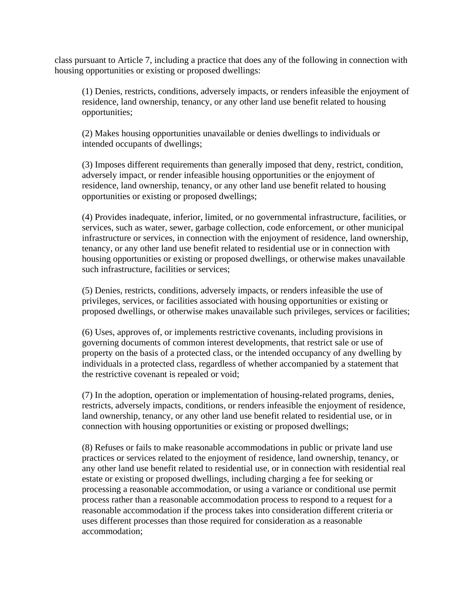class pursuant to Article 7, including a practice that does any of the following in connection with housing opportunities or existing or proposed dwellings:

(1) Denies, restricts, conditions, adversely impacts, or renders infeasible the enjoyment of residence, land ownership, tenancy, or any other land use benefit related to housing opportunities;

(2) Makes housing opportunities unavailable or denies dwellings to individuals or intended occupants of dwellings;

(3) Imposes different requirements than generally imposed that deny, restrict, condition, adversely impact, or render infeasible housing opportunities or the enjoyment of residence, land ownership, tenancy, or any other land use benefit related to housing opportunities or existing or proposed dwellings;

(4) Provides inadequate, inferior, limited, or no governmental infrastructure, facilities, or services, such as water, sewer, garbage collection, code enforcement, or other municipal infrastructure or services, in connection with the enjoyment of residence, land ownership, tenancy, or any other land use benefit related to residential use or in connection with housing opportunities or existing or proposed dwellings, or otherwise makes unavailable such infrastructure, facilities or services;

(5) Denies, restricts, conditions, adversely impacts, or renders infeasible the use of privileges, services, or facilities associated with housing opportunities or existing or proposed dwellings, or otherwise makes unavailable such privileges, services or facilities;

(6) Uses, approves of, or implements restrictive covenants, including provisions in governing documents of common interest developments, that restrict sale or use of property on the basis of a protected class, or the intended occupancy of any dwelling by individuals in a protected class, regardless of whether accompanied by a statement that the restrictive covenant is repealed or void;

(7) In the adoption, operation or implementation of housing-related programs, denies, restricts, adversely impacts, conditions, or renders infeasible the enjoyment of residence, land ownership, tenancy, or any other land use benefit related to residential use, or in connection with housing opportunities or existing or proposed dwellings;

(8) Refuses or fails to make reasonable accommodations in public or private land use practices or services related to the enjoyment of residence, land ownership, tenancy, or any other land use benefit related to residential use, or in connection with residential real estate or existing or proposed dwellings, including charging a fee for seeking or processing a reasonable accommodation, or using a variance or conditional use permit process rather than a reasonable accommodation process to respond to a request for a reasonable accommodation if the process takes into consideration different criteria or uses different processes than those required for consideration as a reasonable accommodation;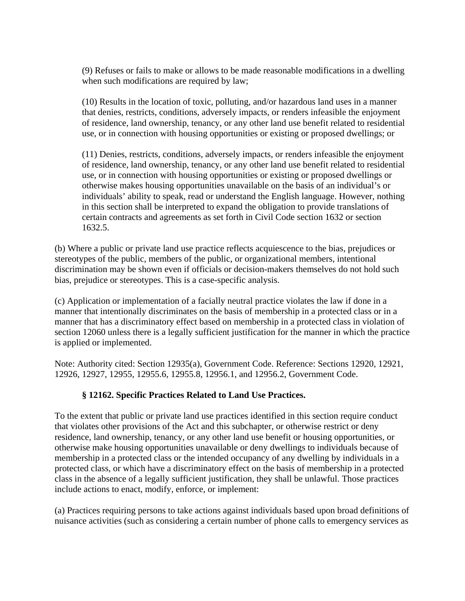(9) Refuses or fails to make or allows to be made reasonable modifications in a dwelling when such modifications are required by law;

(10) Results in the location of toxic, polluting, and/or hazardous land uses in a manner that denies, restricts, conditions, adversely impacts, or renders infeasible the enjoyment of residence, land ownership, tenancy, or any other land use benefit related to residential use, or in connection with housing opportunities or existing or proposed dwellings; or

(11) Denies, restricts, conditions, adversely impacts, or renders infeasible the enjoyment of residence, land ownership, tenancy, or any other land use benefit related to residential use, or in connection with housing opportunities or existing or proposed dwellings or otherwise makes housing opportunities unavailable on the basis of an individual's or individuals' ability to speak, read or understand the English language. However, nothing in this section shall be interpreted to expand the obligation to provide translations of certain contracts and agreements as set forth in Civil Code section 1632 or section 1632.5.

(b) Where a public or private land use practice reflects acquiescence to the bias, prejudices or stereotypes of the public, members of the public, or organizational members, intentional discrimination may be shown even if officials or decision-makers themselves do not hold such bias, prejudice or stereotypes. This is a case-specific analysis.

(c) Application or implementation of a facially neutral practice violates the law if done in a manner that intentionally discriminates on the basis of membership in a protected class or in a manner that has a discriminatory effect based on membership in a protected class in violation of section 12060 unless there is a legally sufficient justification for the manner in which the practice is applied or implemented.

Note: Authority cited: Section 12935(a), Government Code. Reference: Sections 12920, 12921, 12926, 12927, 12955, 12955.6, 12955.8, 12956.1, and 12956.2, Government Code.

# **§ 12162. Specific Practices Related to Land Use Practices.**

To the extent that public or private land use practices identified in this section require conduct that violates other provisions of the Act and this subchapter, or otherwise restrict or deny residence, land ownership, tenancy, or any other land use benefit or housing opportunities, or otherwise make housing opportunities unavailable or deny dwellings to individuals because of membership in a protected class or the intended occupancy of any dwelling by individuals in a protected class, or which have a discriminatory effect on the basis of membership in a protected class in the absence of a legally sufficient justification, they shall be unlawful. Those practices include actions to enact, modify, enforce, or implement:

(a) Practices requiring persons to take actions against individuals based upon broad definitions of nuisance activities (such as considering a certain number of phone calls to emergency services as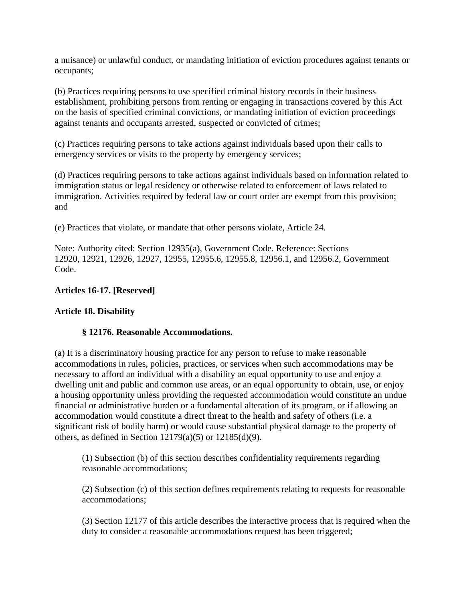a nuisance) or unlawful conduct, or mandating initiation of eviction procedures against tenants or occupants;

(b) Practices requiring persons to use specified criminal history records in their business establishment, prohibiting persons from renting or engaging in transactions covered by this Act on the basis of specified criminal convictions, or mandating initiation of eviction proceedings against tenants and occupants arrested, suspected or convicted of crimes;

(c) Practices requiring persons to take actions against individuals based upon their calls to emergency services or visits to the property by emergency services;

(d) Practices requiring persons to take actions against individuals based on information related to immigration status or legal residency or otherwise related to enforcement of laws related to immigration. Activities required by federal law or court order are exempt from this provision; and

(e) Practices that violate, or mandate that other persons violate, Article 24.

Note: Authority cited: Section 12935(a), Government Code. Reference: Sections 12920, 12921, 12926, 12927, 12955, 12955.6, 12955.8, 12956.1, and 12956.2, Government Code.

#### **Articles 16-17. [Reserved]**

#### **Article 18. Disability**

#### **§ 12176. Reasonable Accommodations.**

(a) It is a discriminatory housing practice for any person to refuse to make reasonable accommodations in rules, policies, practices, or services when such accommodations may be necessary to afford an individual with a disability an equal opportunity to use and enjoy a dwelling unit and public and common use areas, or an equal opportunity to obtain, use, or enjoy a housing opportunity unless providing the requested accommodation would constitute an undue financial or administrative burden or a fundamental alteration of its program, or if allowing an accommodation would constitute a direct threat to the health and safety of others (i.e. a significant risk of bodily harm) or would cause substantial physical damage to the property of others, as defined in Section  $12179(a)(5)$  or  $12185(d)(9)$ .

(1) Subsection (b) of this section describes confidentiality requirements regarding reasonable accommodations;

(2) Subsection (c) of this section defines requirements relating to requests for reasonable accommodations;

(3) Section 12177 of this article describes the interactive process that is required when the duty to consider a reasonable accommodations request has been triggered;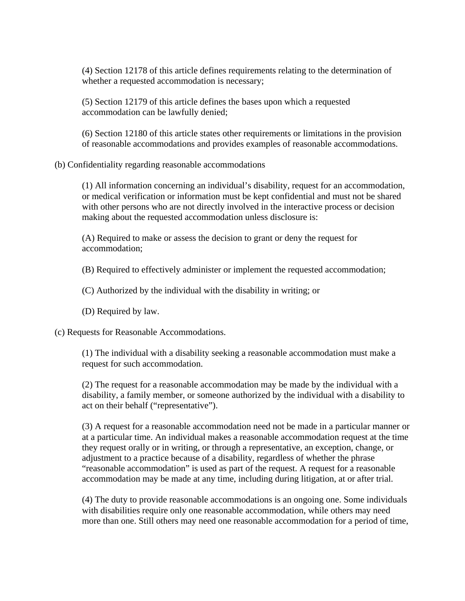(4) Section 12178 of this article defines requirements relating to the determination of whether a requested accommodation is necessary;

(5) Section 12179 of this article defines the bases upon which a requested accommodation can be lawfully denied;

(6) Section 12180 of this article states other requirements or limitations in the provision of reasonable accommodations and provides examples of reasonable accommodations.

(b) Confidentiality regarding reasonable accommodations

(1) All information concerning an individual's disability, request for an accommodation, or medical verification or information must be kept confidential and must not be shared with other persons who are not directly involved in the interactive process or decision making about the requested accommodation unless disclosure is:

(A) Required to make or assess the decision to grant or deny the request for accommodation;

(B) Required to effectively administer or implement the requested accommodation;

(C) Authorized by the individual with the disability in writing; or

(D) Required by law.

(c) Requests for Reasonable Accommodations.

(1) The individual with a disability seeking a reasonable accommodation must make a request for such accommodation.

(2) The request for a reasonable accommodation may be made by the individual with a disability, a family member, or someone authorized by the individual with a disability to act on their behalf ("representative").

(3) A request for a reasonable accommodation need not be made in a particular manner or at a particular time. An individual makes a reasonable accommodation request at the time they request orally or in writing, or through a representative, an exception, change, or adjustment to a practice because of a disability, regardless of whether the phrase "reasonable accommodation" is used as part of the request. A request for a reasonable accommodation may be made at any time, including during litigation, at or after trial.

(4) The duty to provide reasonable accommodations is an ongoing one. Some individuals with disabilities require only one reasonable accommodation, while others may need more than one. Still others may need one reasonable accommodation for a period of time,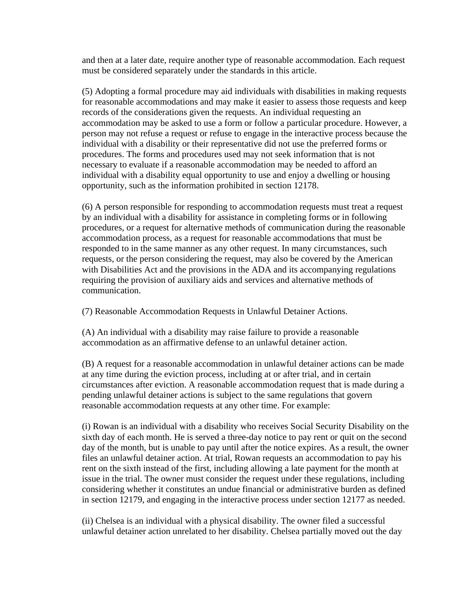and then at a later date, require another type of reasonable accommodation. Each request must be considered separately under the standards in this article.

(5) Adopting a formal procedure may aid individuals with disabilities in making requests for reasonable accommodations and may make it easier to assess those requests and keep records of the considerations given the requests. An individual requesting an accommodation may be asked to use a form or follow a particular procedure. However, a person may not refuse a request or refuse to engage in the interactive process because the individual with a disability or their representative did not use the preferred forms or procedures. The forms and procedures used may not seek information that is not necessary to evaluate if a reasonable accommodation may be needed to afford an individual with a disability equal opportunity to use and enjoy a dwelling or housing opportunity, such as the information prohibited in section 12178.

(6) A person responsible for responding to accommodation requests must treat a request by an individual with a disability for assistance in completing forms or in following procedures, or a request for alternative methods of communication during the reasonable accommodation process, as a request for reasonable accommodations that must be responded to in the same manner as any other request. In many circumstances, such requests, or the person considering the request, may also be covered by the American with Disabilities Act and the provisions in the ADA and its accompanying regulations requiring the provision of auxiliary aids and services and alternative methods of communication.

(7) Reasonable Accommodation Requests in Unlawful Detainer Actions.

(A) An individual with a disability may raise failure to provide a reasonable accommodation as an affirmative defense to an unlawful detainer action.

(B) A request for a reasonable accommodation in unlawful detainer actions can be made at any time during the eviction process, including at or after trial, and in certain circumstances after eviction. A reasonable accommodation request that is made during a pending unlawful detainer actions is subject to the same regulations that govern reasonable accommodation requests at any other time. For example:

(i) Rowan is an individual with a disability who receives Social Security Disability on the sixth day of each month. He is served a three-day notice to pay rent or quit on the second day of the month, but is unable to pay until after the notice expires. As a result, the owner files an unlawful detainer action. At trial, Rowan requests an accommodation to pay his rent on the sixth instead of the first, including allowing a late payment for the month at issue in the trial. The owner must consider the request under these regulations, including considering whether it constitutes an undue financial or administrative burden as defined in section 12179, and engaging in the interactive process under section 12177 as needed.

(ii) Chelsea is an individual with a physical disability. The owner filed a successful unlawful detainer action unrelated to her disability. Chelsea partially moved out the day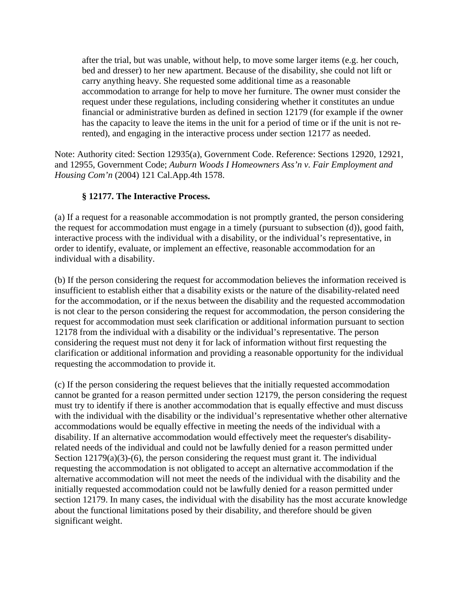after the trial, but was unable, without help, to move some larger items (e.g. her couch, bed and dresser) to her new apartment. Because of the disability, she could not lift or carry anything heavy. She requested some additional time as a reasonable accommodation to arrange for help to move her furniture. The owner must consider the request under these regulations, including considering whether it constitutes an undue financial or administrative burden as defined in section 12179 (for example if the owner has the capacity to leave the items in the unit for a period of time or if the unit is not rerented), and engaging in the interactive process under section 12177 as needed.

Note: Authority cited: Section 12935(a), Government Code. Reference: Sections 12920, 12921, and 12955, Government Code; *Auburn Woods I Homeowners Ass'n v. Fair Employment and Housing Com'n* (2004) 121 Cal.App.4th 1578.

# **§ 12177. The Interactive Process.**

(a) If a request for a reasonable accommodation is not promptly granted, the person considering the request for accommodation must engage in a timely (pursuant to subsection (d)), good faith, interactive process with the individual with a disability, or the individual's representative, in order to identify, evaluate, or implement an effective, reasonable accommodation for an individual with a disability.

(b) If the person considering the request for accommodation believes the information received is insufficient to establish either that a disability exists or the nature of the disability-related need for the accommodation, or if the nexus between the disability and the requested accommodation is not clear to the person considering the request for accommodation, the person considering the request for accommodation must seek clarification or additional information pursuant to section 12178 from the individual with a disability or the individual's representative. The person considering the request must not deny it for lack of information without first requesting the clarification or additional information and providing a reasonable opportunity for the individual requesting the accommodation to provide it.

(c) If the person considering the request believes that the initially requested accommodation cannot be granted for a reason permitted under section 12179, the person considering the request must try to identify if there is another accommodation that is equally effective and must discuss with the individual with the disability or the individual's representative whether other alternative accommodations would be equally effective in meeting the needs of the individual with a disability. If an alternative accommodation would effectively meet the requester's disabilityrelated needs of the individual and could not be lawfully denied for a reason permitted under Section  $12179(a)(3)-(6)$ , the person considering the request must grant it. The individual requesting the accommodation is not obligated to accept an alternative accommodation if the alternative accommodation will not meet the needs of the individual with the disability and the initially requested accommodation could not be lawfully denied for a reason permitted under section 12179. In many cases, the individual with the disability has the most accurate knowledge about the functional limitations posed by their disability, and therefore should be given significant weight.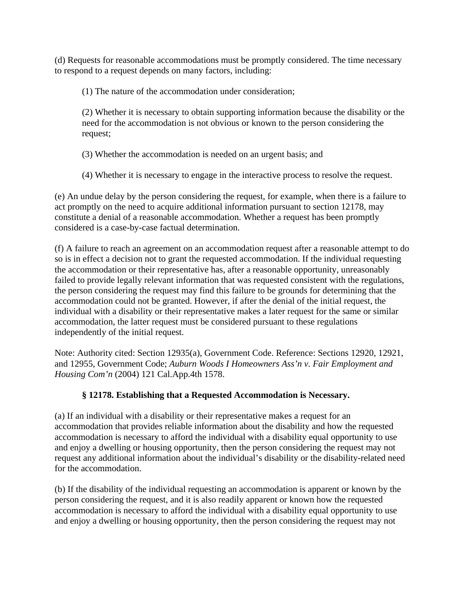(d) Requests for reasonable accommodations must be promptly considered. The time necessary to respond to a request depends on many factors, including:

(1) The nature of the accommodation under consideration;

(2) Whether it is necessary to obtain supporting information because the disability or the need for the accommodation is not obvious or known to the person considering the request;

(3) Whether the accommodation is needed on an urgent basis; and

(4) Whether it is necessary to engage in the interactive process to resolve the request.

(e) An undue delay by the person considering the request, for example, when there is a failure to act promptly on the need to acquire additional information pursuant to section 12178, may constitute a denial of a reasonable accommodation. Whether a request has been promptly considered is a case-by-case factual determination.

(f) A failure to reach an agreement on an accommodation request after a reasonable attempt to do so is in effect a decision not to grant the requested accommodation. If the individual requesting the accommodation or their representative has, after a reasonable opportunity, unreasonably failed to provide legally relevant information that was requested consistent with the regulations, the person considering the request may find this failure to be grounds for determining that the accommodation could not be granted. However, if after the denial of the initial request, the individual with a disability or their representative makes a later request for the same or similar accommodation, the latter request must be considered pursuant to these regulations independently of the initial request.

Note: Authority cited: Section 12935(a), Government Code. Reference: Sections 12920, 12921, and 12955, Government Code; *Auburn Woods I Homeowners Ass'n v. Fair Employment and Housing Com'n* (2004) 121 Cal.App.4th 1578.

#### **§ 12178. Establishing that a Requested Accommodation is Necessary.**

(a) If an individual with a disability or their representative makes a request for an accommodation that provides reliable information about the disability and how the requested accommodation is necessary to afford the individual with a disability equal opportunity to use and enjoy a dwelling or housing opportunity, then the person considering the request may not request any additional information about the individual's disability or the disability-related need for the accommodation.

(b) If the disability of the individual requesting an accommodation is apparent or known by the person considering the request, and it is also readily apparent or known how the requested accommodation is necessary to afford the individual with a disability equal opportunity to use and enjoy a dwelling or housing opportunity, then the person considering the request may not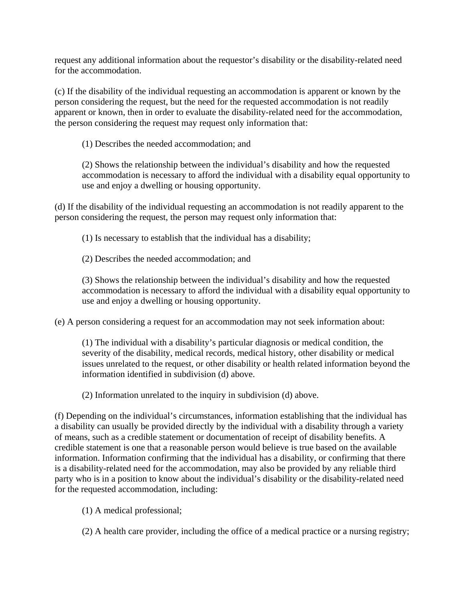request any additional information about the requestor's disability or the disability-related need for the accommodation.

(c) If the disability of the individual requesting an accommodation is apparent or known by the person considering the request, but the need for the requested accommodation is not readily apparent or known, then in order to evaluate the disability-related need for the accommodation, the person considering the request may request only information that:

(1) Describes the needed accommodation; and

(2) Shows the relationship between the individual's disability and how the requested accommodation is necessary to afford the individual with a disability equal opportunity to use and enjoy a dwelling or housing opportunity.

(d) If the disability of the individual requesting an accommodation is not readily apparent to the person considering the request, the person may request only information that:

(1) Is necessary to establish that the individual has a disability;

(2) Describes the needed accommodation; and

(3) Shows the relationship between the individual's disability and how the requested accommodation is necessary to afford the individual with a disability equal opportunity to use and enjoy a dwelling or housing opportunity.

(e) A person considering a request for an accommodation may not seek information about:

(1) The individual with a disability's particular diagnosis or medical condition, the severity of the disability, medical records, medical history, other disability or medical issues unrelated to the request, or other disability or health related information beyond the information identified in subdivision (d) above.

(2) Information unrelated to the inquiry in subdivision (d) above.

(f) Depending on the individual's circumstances, information establishing that the individual has a disability can usually be provided directly by the individual with a disability through a variety of means, such as a credible statement or documentation of receipt of disability benefits. A credible statement is one that a reasonable person would believe is true based on the available information. Information confirming that the individual has a disability, or confirming that there is a disability-related need for the accommodation, may also be provided by any reliable third party who is in a position to know about the individual's disability or the disability-related need for the requested accommodation, including:

(1) A medical professional;

(2) A health care provider, including the office of a medical practice or a nursing registry;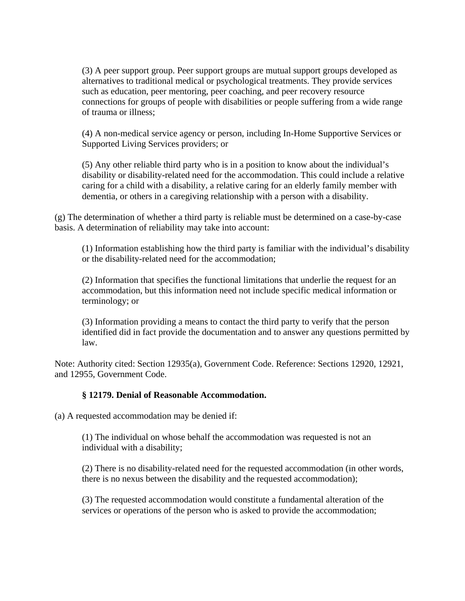(3) A peer support group. Peer support groups are mutual support groups developed as alternatives to traditional medical or psychological treatments. They provide services such as education, peer mentoring, peer coaching, and peer recovery resource connections for groups of people with disabilities or people suffering from a wide range of trauma or illness;

(4) A non-medical service agency or person, including In-Home Supportive Services or Supported Living Services providers; or

(5) Any other reliable third party who is in a position to know about the individual's disability or disability-related need for the accommodation. This could include a relative caring for a child with a disability, a relative caring for an elderly family member with dementia, or others in a caregiving relationship with a person with a disability.

(g) The determination of whether a third party is reliable must be determined on a case-by-case basis. A determination of reliability may take into account:

(1) Information establishing how the third party is familiar with the individual's disability or the disability-related need for the accommodation;

(2) Information that specifies the functional limitations that underlie the request for an accommodation, but this information need not include specific medical information or terminology; or

(3) Information providing a means to contact the third party to verify that the person identified did in fact provide the documentation and to answer any questions permitted by law.

Note: Authority cited: Section 12935(a), Government Code. Reference: Sections 12920, 12921, and 12955, Government Code.

#### **§ 12179. Denial of Reasonable Accommodation.**

(a) A requested accommodation may be denied if:

(1) The individual on whose behalf the accommodation was requested is not an individual with a disability;

(2) There is no disability-related need for the requested accommodation (in other words, there is no nexus between the disability and the requested accommodation);

(3) The requested accommodation would constitute a fundamental alteration of the services or operations of the person who is asked to provide the accommodation;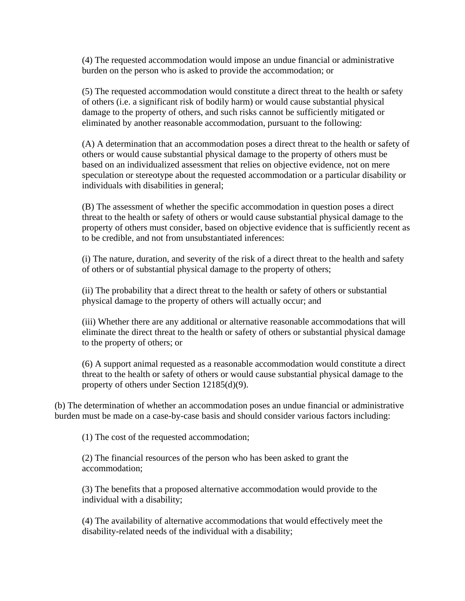(4) The requested accommodation would impose an undue financial or administrative burden on the person who is asked to provide the accommodation; or

(5) The requested accommodation would constitute a direct threat to the health or safety of others (i.e. a significant risk of bodily harm) or would cause substantial physical damage to the property of others, and such risks cannot be sufficiently mitigated or eliminated by another reasonable accommodation, pursuant to the following:

(A) A determination that an accommodation poses a direct threat to the health or safety of others or would cause substantial physical damage to the property of others must be based on an individualized assessment that relies on objective evidence, not on mere speculation or stereotype about the requested accommodation or a particular disability or individuals with disabilities in general;

(B) The assessment of whether the specific accommodation in question poses a direct threat to the health or safety of others or would cause substantial physical damage to the property of others must consider, based on objective evidence that is sufficiently recent as to be credible, and not from unsubstantiated inferences:

(i) The nature, duration, and severity of the risk of a direct threat to the health and safety of others or of substantial physical damage to the property of others;

(ii) The probability that a direct threat to the health or safety of others or substantial physical damage to the property of others will actually occur; and

(iii) Whether there are any additional or alternative reasonable accommodations that will eliminate the direct threat to the health or safety of others or substantial physical damage to the property of others; or

(6) A support animal requested as a reasonable accommodation would constitute a direct threat to the health or safety of others or would cause substantial physical damage to the property of others under Section 12185(d)(9).

(b) The determination of whether an accommodation poses an undue financial or administrative burden must be made on a case-by-case basis and should consider various factors including:

(1) The cost of the requested accommodation;

(2) The financial resources of the person who has been asked to grant the accommodation;

(3) The benefits that a proposed alternative accommodation would provide to the individual with a disability;

(4) The availability of alternative accommodations that would effectively meet the disability-related needs of the individual with a disability;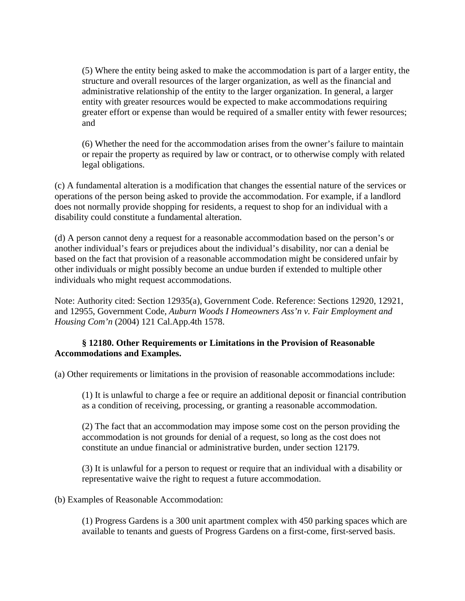(5) Where the entity being asked to make the accommodation is part of a larger entity, the structure and overall resources of the larger organization, as well as the financial and administrative relationship of the entity to the larger organization. In general, a larger entity with greater resources would be expected to make accommodations requiring greater effort or expense than would be required of a smaller entity with fewer resources; and

(6) Whether the need for the accommodation arises from the owner's failure to maintain or repair the property as required by law or contract, or to otherwise comply with related legal obligations.

(c) A fundamental alteration is a modification that changes the essential nature of the services or operations of the person being asked to provide the accommodation. For example, if a landlord does not normally provide shopping for residents, a request to shop for an individual with a disability could constitute a fundamental alteration.

(d) A person cannot deny a request for a reasonable accommodation based on the person's or another individual's fears or prejudices about the individual's disability, nor can a denial be based on the fact that provision of a reasonable accommodation might be considered unfair by other individuals or might possibly become an undue burden if extended to multiple other individuals who might request accommodations.

Note: Authority cited: Section 12935(a), Government Code. Reference: Sections 12920, 12921, and 12955, Government Code, *Auburn Woods I Homeowners Ass'n v. Fair Employment and Housing Com'n* (2004) 121 Cal.App.4th 1578.

#### **§ 12180. Other Requirements or Limitations in the Provision of Reasonable Accommodations and Examples.**

(a) Other requirements or limitations in the provision of reasonable accommodations include:

(1) It is unlawful to charge a fee or require an additional deposit or financial contribution as a condition of receiving, processing, or granting a reasonable accommodation.

(2) The fact that an accommodation may impose some cost on the person providing the accommodation is not grounds for denial of a request, so long as the cost does not constitute an undue financial or administrative burden, under section 12179.

(3) It is unlawful for a person to request or require that an individual with a disability or representative waive the right to request a future accommodation.

(b) Examples of Reasonable Accommodation:

(1) Progress Gardens is a 300 unit apartment complex with 450 parking spaces which are available to tenants and guests of Progress Gardens on a first-come, first-served basis.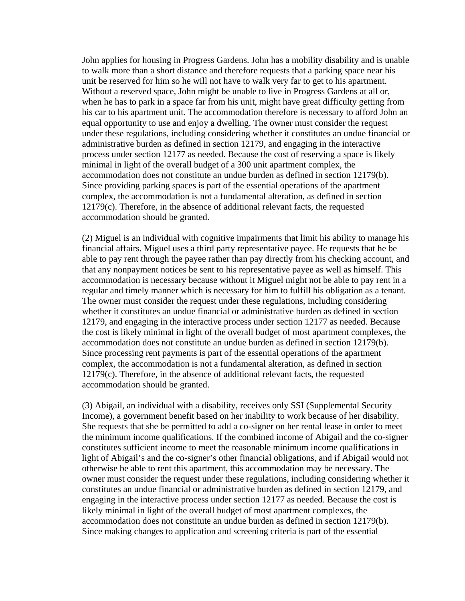John applies for housing in Progress Gardens. John has a mobility disability and is unable to walk more than a short distance and therefore requests that a parking space near his unit be reserved for him so he will not have to walk very far to get to his apartment. Without a reserved space, John might be unable to live in Progress Gardens at all or, when he has to park in a space far from his unit, might have great difficulty getting from his car to his apartment unit. The accommodation therefore is necessary to afford John an equal opportunity to use and enjoy a dwelling. The owner must consider the request under these regulations, including considering whether it constitutes an undue financial or administrative burden as defined in section 12179, and engaging in the interactive process under section 12177 as needed. Because the cost of reserving a space is likely minimal in light of the overall budget of a 300 unit apartment complex, the accommodation does not constitute an undue burden as defined in section 12179(b). Since providing parking spaces is part of the essential operations of the apartment complex, the accommodation is not a fundamental alteration, as defined in section 12179(c). Therefore, in the absence of additional relevant facts, the requested accommodation should be granted.

(2) Miguel is an individual with cognitive impairments that limit his ability to manage his financial affairs. Miguel uses a third party representative payee. He requests that he be able to pay rent through the payee rather than pay directly from his checking account, and that any nonpayment notices be sent to his representative payee as well as himself. This accommodation is necessary because without it Miguel might not be able to pay rent in a regular and timely manner which is necessary for him to fulfill his obligation as a tenant. The owner must consider the request under these regulations, including considering whether it constitutes an undue financial or administrative burden as defined in section 12179, and engaging in the interactive process under section 12177 as needed. Because the cost is likely minimal in light of the overall budget of most apartment complexes, the accommodation does not constitute an undue burden as defined in section 12179(b). Since processing rent payments is part of the essential operations of the apartment complex, the accommodation is not a fundamental alteration, as defined in section 12179(c). Therefore, in the absence of additional relevant facts, the requested accommodation should be granted.

(3) Abigail, an individual with a disability, receives only SSI (Supplemental Security Income), a government benefit based on her inability to work because of her disability. She requests that she be permitted to add a co-signer on her rental lease in order to meet the minimum income qualifications. If the combined income of Abigail and the co-signer constitutes sufficient income to meet the reasonable minimum income qualifications in light of Abigail's and the co-signer's other financial obligations, and if Abigail would not otherwise be able to rent this apartment, this accommodation may be necessary. The owner must consider the request under these regulations, including considering whether it constitutes an undue financial or administrative burden as defined in section 12179, and engaging in the interactive process under section 12177 as needed. Because the cost is likely minimal in light of the overall budget of most apartment complexes, the accommodation does not constitute an undue burden as defined in section 12179(b). Since making changes to application and screening criteria is part of the essential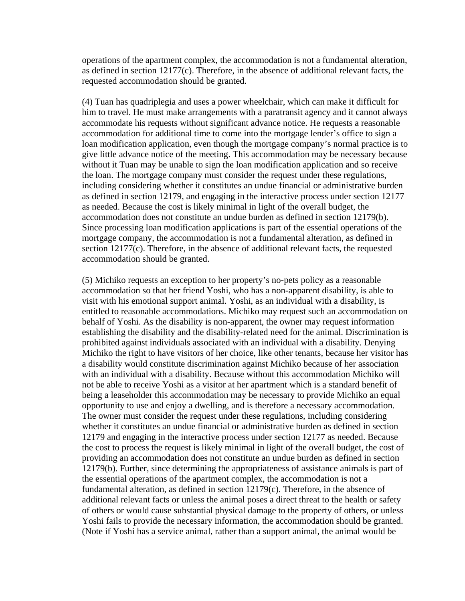operations of the apartment complex, the accommodation is not a fundamental alteration, as defined in section 12177(c). Therefore, in the absence of additional relevant facts, the requested accommodation should be granted.

(4) Tuan has quadriplegia and uses a power wheelchair, which can make it difficult for him to travel. He must make arrangements with a paratransit agency and it cannot always accommodate his requests without significant advance notice. He requests a reasonable accommodation for additional time to come into the mortgage lender's office to sign a loan modification application, even though the mortgage company's normal practice is to give little advance notice of the meeting. This accommodation may be necessary because without it Tuan may be unable to sign the loan modification application and so receive the loan. The mortgage company must consider the request under these regulations, including considering whether it constitutes an undue financial or administrative burden as defined in section 12179, and engaging in the interactive process under section 12177 as needed. Because the cost is likely minimal in light of the overall budget, the accommodation does not constitute an undue burden as defined in section 12179(b). Since processing loan modification applications is part of the essential operations of the mortgage company, the accommodation is not a fundamental alteration, as defined in section 12177(c). Therefore, in the absence of additional relevant facts, the requested accommodation should be granted.

(5) Michiko requests an exception to her property's no-pets policy as a reasonable accommodation so that her friend Yoshi, who has a non-apparent disability, is able to visit with his emotional support animal. Yoshi, as an individual with a disability, is entitled to reasonable accommodations. Michiko may request such an accommodation on behalf of Yoshi. As the disability is non-apparent, the owner may request information establishing the disability and the disability-related need for the animal. Discrimination is prohibited against individuals associated with an individual with a disability. Denying Michiko the right to have visitors of her choice, like other tenants, because her visitor has a disability would constitute discrimination against Michiko because of her association with an individual with a disability. Because without this accommodation Michiko will not be able to receive Yoshi as a visitor at her apartment which is a standard benefit of being a leaseholder this accommodation may be necessary to provide Michiko an equal opportunity to use and enjoy a dwelling, and is therefore a necessary accommodation. The owner must consider the request under these regulations, including considering whether it constitutes an undue financial or administrative burden as defined in section 12179 and engaging in the interactive process under section 12177 as needed. Because the cost to process the request is likely minimal in light of the overall budget, the cost of providing an accommodation does not constitute an undue burden as defined in section 12179(b). Further, since determining the appropriateness of assistance animals is part of the essential operations of the apartment complex, the accommodation is not a fundamental alteration, as defined in section 12179(c). Therefore, in the absence of additional relevant facts or unless the animal poses a direct threat to the health or safety of others or would cause substantial physical damage to the property of others, or unless Yoshi fails to provide the necessary information, the accommodation should be granted. (Note if Yoshi has a service animal, rather than a support animal, the animal would be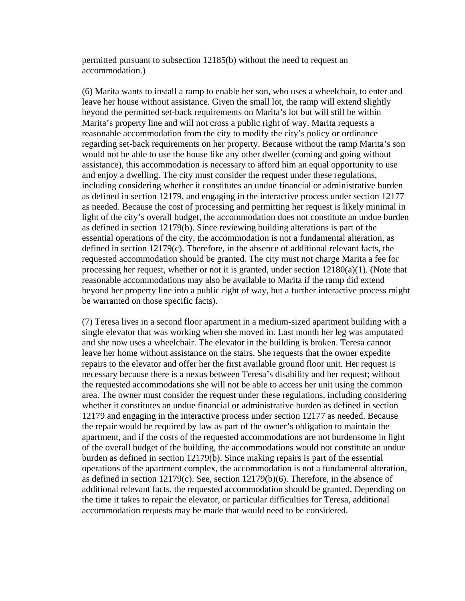permitted pursuant to subsection 12185(b) without the need to request an accommodation.)

(6) Marita wants to install a ramp to enable her son, who uses a wheelchair, to enter and leave her house without assistance. Given the small lot, the ramp will extend slightly beyond the permitted set-back requirements on Marita's lot but will still be within Marita's property line and will not cross a public right of way. Marita requests a reasonable accommodation from the city to modify the city's policy or ordinance regarding set-back requirements on her property. Because without the ramp Marita's son would not be able to use the house like any other dweller (coming and going without assistance), this accommodation is necessary to afford him an equal opportunity to use and enjoy a dwelling. The city must consider the request under these regulations, including considering whether it constitutes an undue financial or administrative burden as defined in section 12179, and engaging in the interactive process under section 12177 as needed. Because the cost of processing and permitting her request is likely minimal in light of the city's overall budget, the accommodation does not constitute an undue burden as defined in section 12179(b). Since reviewing building alterations is part of the essential operations of the city, the accommodation is not a fundamental alteration, as defined in section 12179(c). Therefore, in the absence of additional relevant facts, the requested accommodation should be granted. The city must not charge Marita a fee for processing her request, whether or not it is granted, under section  $12180(a)(1)$ . (Note that reasonable accommodations may also be available to Marita if the ramp did extend beyond her property line into a public right of way, but a further interactive process might be warranted on those specific facts).

(7) Teresa lives in a second floor apartment in a medium-sized apartment building with a single elevator that was working when she moved in. Last month her leg was amputated and she now uses a wheelchair. The elevator in the building is broken. Teresa cannot leave her home without assistance on the stairs. She requests that the owner expedite repairs to the elevator and offer her the first available ground floor unit. Her request is necessary because there is a nexus between Teresa's disability and her request; without the requested accommodations she will not be able to access her unit using the common area. The owner must consider the request under these regulations, including considering whether it constitutes an undue financial or administrative burden as defined in section 12179 and engaging in the interactive process under section 12177 as needed. Because the repair would be required by law as part of the owner's obligation to maintain the apartment, and if the costs of the requested accommodations are not burdensome in light of the overall budget of the building, the accommodations would not constitute an undue burden as defined in section 12179(b). Since making repairs is part of the essential operations of the apartment complex, the accommodation is not a fundamental alteration, as defined in section 12179(c). See, section 12179(b)(6). Therefore, in the absence of additional relevant facts, the requested accommodation should be granted. Depending on the time it takes to repair the elevator, or particular difficulties for Teresa, additional accommodation requests may be made that would need to be considered.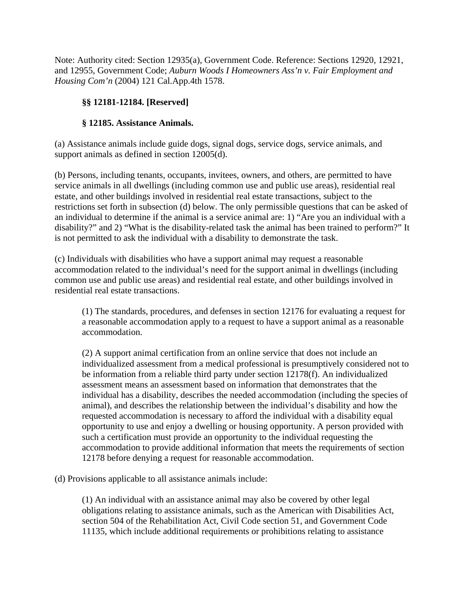Note: Authority cited: Section 12935(a), Government Code. Reference: Sections 12920, 12921, and 12955, Government Code; *Auburn Woods I Homeowners Ass'n v. Fair Employment and Housing Com'n* (2004) 121 Cal.App.4th 1578.

# **§§ 12181-12184. [Reserved]**

#### **§ 12185. Assistance Animals.**

(a) Assistance animals include guide dogs, signal dogs, service dogs, service animals, and support animals as defined in section 12005(d).

(b) Persons, including tenants, occupants, invitees, owners, and others, are permitted to have service animals in all dwellings (including common use and public use areas), residential real estate, and other buildings involved in residential real estate transactions, subject to the restrictions set forth in subsection (d) below. The only permissible questions that can be asked of an individual to determine if the animal is a service animal are: 1) "Are you an individual with a disability?" and 2) "What is the disability-related task the animal has been trained to perform?" It is not permitted to ask the individual with a disability to demonstrate the task.

(c) Individuals with disabilities who have a support animal may request a reasonable accommodation related to the individual's need for the support animal in dwellings (including common use and public use areas) and residential real estate, and other buildings involved in residential real estate transactions.

(1) The standards, procedures, and defenses in section 12176 for evaluating a request for a reasonable accommodation apply to a request to have a support animal as a reasonable accommodation.

(2) A support animal certification from an online service that does not include an individualized assessment from a medical professional is presumptively considered not to be information from a reliable third party under section 12178(f). An individualized assessment means an assessment based on information that demonstrates that the individual has a disability, describes the needed accommodation (including the species of animal), and describes the relationship between the individual's disability and how the requested accommodation is necessary to afford the individual with a disability equal opportunity to use and enjoy a dwelling or housing opportunity. A person provided with such a certification must provide an opportunity to the individual requesting the accommodation to provide additional information that meets the requirements of section 12178 before denying a request for reasonable accommodation.

(d) Provisions applicable to all assistance animals include:

(1) An individual with an assistance animal may also be covered by other legal obligations relating to assistance animals, such as the American with Disabilities Act, section 504 of the Rehabilitation Act, Civil Code section 51, and Government Code 11135, which include additional requirements or prohibitions relating to assistance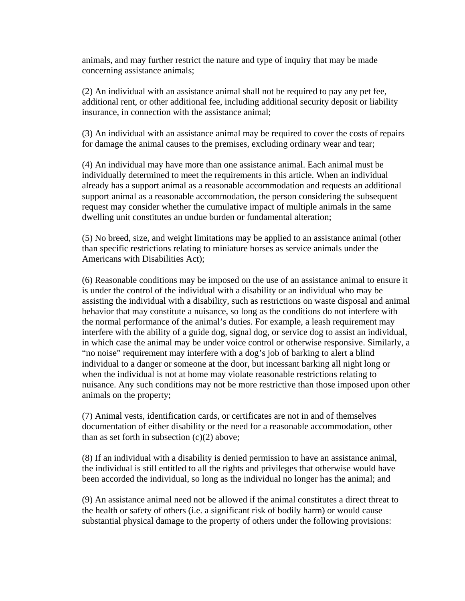animals, and may further restrict the nature and type of inquiry that may be made concerning assistance animals;

(2) An individual with an assistance animal shall not be required to pay any pet fee, additional rent, or other additional fee, including additional security deposit or liability insurance, in connection with the assistance animal;

(3) An individual with an assistance animal may be required to cover the costs of repairs for damage the animal causes to the premises, excluding ordinary wear and tear;

(4) An individual may have more than one assistance animal. Each animal must be individually determined to meet the requirements in this article. When an individual already has a support animal as a reasonable accommodation and requests an additional support animal as a reasonable accommodation, the person considering the subsequent request may consider whether the cumulative impact of multiple animals in the same dwelling unit constitutes an undue burden or fundamental alteration;

(5) No breed, size, and weight limitations may be applied to an assistance animal (other than specific restrictions relating to miniature horses as service animals under the Americans with Disabilities Act);

(6) Reasonable conditions may be imposed on the use of an assistance animal to ensure it is under the control of the individual with a disability or an individual who may be assisting the individual with a disability, such as restrictions on waste disposal and animal behavior that may constitute a nuisance, so long as the conditions do not interfere with the normal performance of the animal's duties. For example, a leash requirement may interfere with the ability of a guide dog, signal dog, or service dog to assist an individual, in which case the animal may be under voice control or otherwise responsive. Similarly, a "no noise" requirement may interfere with a dog's job of barking to alert a blind individual to a danger or someone at the door, but incessant barking all night long or when the individual is not at home may violate reasonable restrictions relating to nuisance. Any such conditions may not be more restrictive than those imposed upon other animals on the property;

(7) Animal vests, identification cards, or certificates are not in and of themselves documentation of either disability or the need for a reasonable accommodation, other than as set forth in subsection  $(c)(2)$  above;

(8) If an individual with a disability is denied permission to have an assistance animal, the individual is still entitled to all the rights and privileges that otherwise would have been accorded the individual, so long as the individual no longer has the animal; and

(9) An assistance animal need not be allowed if the animal constitutes a direct threat to the health or safety of others (i.e. a significant risk of bodily harm) or would cause substantial physical damage to the property of others under the following provisions: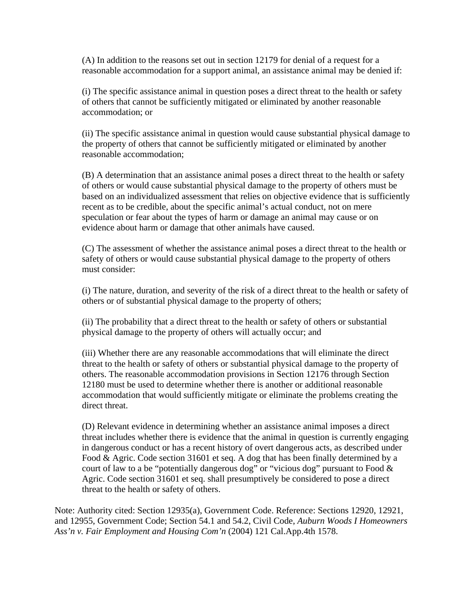(A) In addition to the reasons set out in section 12179 for denial of a request for a reasonable accommodation for a support animal, an assistance animal may be denied if:

(i) The specific assistance animal in question poses a direct threat to the health or safety of others that cannot be sufficiently mitigated or eliminated by another reasonable accommodation; or

(ii) The specific assistance animal in question would cause substantial physical damage to the property of others that cannot be sufficiently mitigated or eliminated by another reasonable accommodation;

(B) A determination that an assistance animal poses a direct threat to the health or safety of others or would cause substantial physical damage to the property of others must be based on an individualized assessment that relies on objective evidence that is sufficiently recent as to be credible, about the specific animal's actual conduct, not on mere speculation or fear about the types of harm or damage an animal may cause or on evidence about harm or damage that other animals have caused.

(C) The assessment of whether the assistance animal poses a direct threat to the health or safety of others or would cause substantial physical damage to the property of others must consider:

(i) The nature, duration, and severity of the risk of a direct threat to the health or safety of others or of substantial physical damage to the property of others;

(ii) The probability that a direct threat to the health or safety of others or substantial physical damage to the property of others will actually occur; and

(iii) Whether there are any reasonable accommodations that will eliminate the direct threat to the health or safety of others or substantial physical damage to the property of others. The reasonable accommodation provisions in Section 12176 through Section 12180 must be used to determine whether there is another or additional reasonable accommodation that would sufficiently mitigate or eliminate the problems creating the direct threat.

(D) Relevant evidence in determining whether an assistance animal imposes a direct threat includes whether there is evidence that the animal in question is currently engaging in dangerous conduct or has a recent history of overt dangerous acts, as described under Food & Agric. Code section 31601 et seq. A dog that has been finally determined by a court of law to a be "potentially dangerous dog" or "vicious dog" pursuant to Food & Agric. Code section 31601 et seq. shall presumptively be considered to pose a direct threat to the health or safety of others.

Note: Authority cited: Section 12935(a), Government Code. Reference: Sections 12920, 12921, and 12955, Government Code; Section 54.1 and 54.2, Civil Code, *Auburn Woods I Homeowners Ass'n v. Fair Employment and Housing Com'n* (2004) 121 Cal.App.4th 1578.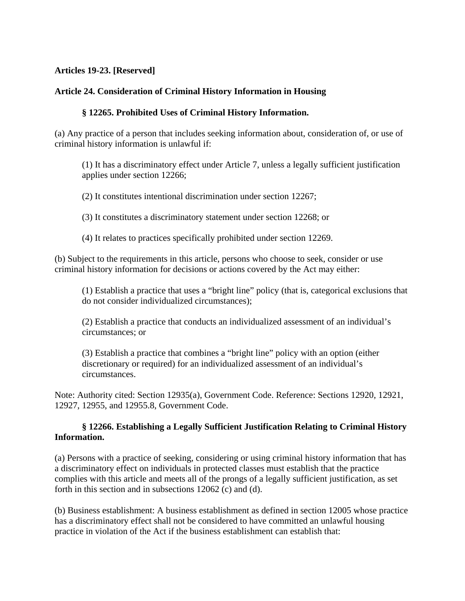#### **Articles 19-23. [Reserved]**

#### **Article 24. Consideration of Criminal History Information in Housing**

#### **§ 12265. Prohibited Uses of Criminal History Information.**

(a) Any practice of a person that includes seeking information about, consideration of, or use of criminal history information is unlawful if:

(1) It has a discriminatory effect under Article 7, unless a legally sufficient justification applies under section 12266;

(2) It constitutes intentional discrimination under section 12267;

(3) It constitutes a discriminatory statement under section 12268; or

(4) It relates to practices specifically prohibited under section 12269.

(b) Subject to the requirements in this article, persons who choose to seek, consider or use criminal history information for decisions or actions covered by the Act may either:

(1) Establish a practice that uses a "bright line" policy (that is, categorical exclusions that do not consider individualized circumstances);

(2) Establish a practice that conducts an individualized assessment of an individual's circumstances; or

(3) Establish a practice that combines a "bright line" policy with an option (either discretionary or required) for an individualized assessment of an individual's circumstances.

Note: Authority cited: Section 12935(a), Government Code. Reference: Sections 12920, 12921, 12927, 12955, and 12955.8, Government Code.

#### **§ 12266. Establishing a Legally Sufficient Justification Relating to Criminal History Information.**

(a) Persons with a practice of seeking, considering or using criminal history information that has a discriminatory effect on individuals in protected classes must establish that the practice complies with this article and meets all of the prongs of a legally sufficient justification, as set forth in this section and in subsections 12062 (c) and (d).

(b) Business establishment: A business establishment as defined in section 12005 whose practice has a discriminatory effect shall not be considered to have committed an unlawful housing practice in violation of the Act if the business establishment can establish that: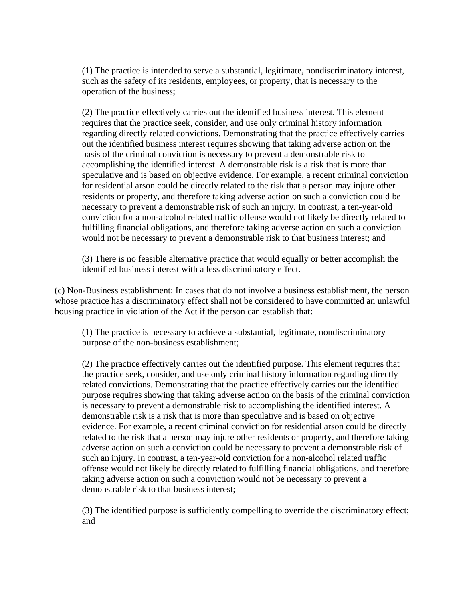(1) The practice is intended to serve a substantial, legitimate, nondiscriminatory interest, such as the safety of its residents, employees, or property, that is necessary to the operation of the business;

(2) The practice effectively carries out the identified business interest. This element requires that the practice seek, consider, and use only criminal history information regarding directly related convictions. Demonstrating that the practice effectively carries out the identified business interest requires showing that taking adverse action on the basis of the criminal conviction is necessary to prevent a demonstrable risk to accomplishing the identified interest. A demonstrable risk is a risk that is more than speculative and is based on objective evidence. For example, a recent criminal conviction for residential arson could be directly related to the risk that a person may injure other residents or property, and therefore taking adverse action on such a conviction could be necessary to prevent a demonstrable risk of such an injury. In contrast, a ten-year-old conviction for a non-alcohol related traffic offense would not likely be directly related to fulfilling financial obligations, and therefore taking adverse action on such a conviction would not be necessary to prevent a demonstrable risk to that business interest; and

(3) There is no feasible alternative practice that would equally or better accomplish the identified business interest with a less discriminatory effect.

(c) Non-Business establishment: In cases that do not involve a business establishment, the person whose practice has a discriminatory effect shall not be considered to have committed an unlawful housing practice in violation of the Act if the person can establish that:

(1) The practice is necessary to achieve a substantial, legitimate, nondiscriminatory purpose of the non-business establishment;

(2) The practice effectively carries out the identified purpose. This element requires that the practice seek, consider, and use only criminal history information regarding directly related convictions. Demonstrating that the practice effectively carries out the identified purpose requires showing that taking adverse action on the basis of the criminal conviction is necessary to prevent a demonstrable risk to accomplishing the identified interest. A demonstrable risk is a risk that is more than speculative and is based on objective evidence. For example, a recent criminal conviction for residential arson could be directly related to the risk that a person may injure other residents or property, and therefore taking adverse action on such a conviction could be necessary to prevent a demonstrable risk of such an injury. In contrast, a ten-year-old conviction for a non-alcohol related traffic offense would not likely be directly related to fulfilling financial obligations, and therefore taking adverse action on such a conviction would not be necessary to prevent a demonstrable risk to that business interest;

(3) The identified purpose is sufficiently compelling to override the discriminatory effect; and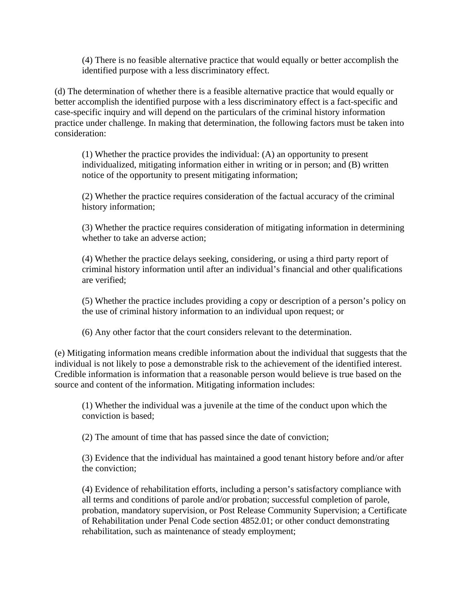(4) There is no feasible alternative practice that would equally or better accomplish the identified purpose with a less discriminatory effect.

(d) The determination of whether there is a feasible alternative practice that would equally or better accomplish the identified purpose with a less discriminatory effect is a fact-specific and case-specific inquiry and will depend on the particulars of the criminal history information practice under challenge. In making that determination, the following factors must be taken into consideration:

(1) Whether the practice provides the individual: (A) an opportunity to present individualized, mitigating information either in writing or in person; and (B) written notice of the opportunity to present mitigating information;

(2) Whether the practice requires consideration of the factual accuracy of the criminal history information;

(3) Whether the practice requires consideration of mitigating information in determining whether to take an adverse action;

(4) Whether the practice delays seeking, considering, or using a third party report of criminal history information until after an individual's financial and other qualifications are verified;

(5) Whether the practice includes providing a copy or description of a person's policy on the use of criminal history information to an individual upon request; or

(6) Any other factor that the court considers relevant to the determination.

(e) Mitigating information means credible information about the individual that suggests that the individual is not likely to pose a demonstrable risk to the achievement of the identified interest. Credible information is information that a reasonable person would believe is true based on the source and content of the information. Mitigating information includes:

(1) Whether the individual was a juvenile at the time of the conduct upon which the conviction is based;

(2) The amount of time that has passed since the date of conviction;

(3) Evidence that the individual has maintained a good tenant history before and/or after the conviction;

(4) Evidence of rehabilitation efforts, including a person's satisfactory compliance with all terms and conditions of parole and/or probation; successful completion of parole, probation, mandatory supervision, or Post Release Community Supervision; a Certificate of Rehabilitation under Penal Code section 4852.01; or other conduct demonstrating rehabilitation, such as maintenance of steady employment;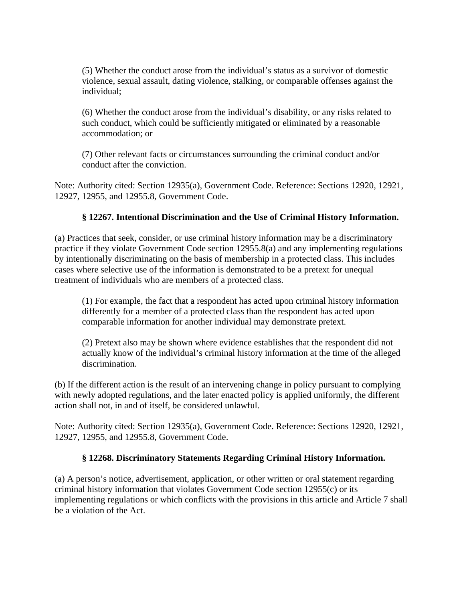(5) Whether the conduct arose from the individual's status as a survivor of domestic violence, sexual assault, dating violence, stalking, or comparable offenses against the individual;

(6) Whether the conduct arose from the individual's disability, or any risks related to such conduct, which could be sufficiently mitigated or eliminated by a reasonable accommodation; or

(7) Other relevant facts or circumstances surrounding the criminal conduct and/or conduct after the conviction.

Note: Authority cited: Section 12935(a), Government Code. Reference: Sections 12920, 12921, 12927, 12955, and 12955.8, Government Code.

#### **§ 12267. Intentional Discrimination and the Use of Criminal History Information.**

(a) Practices that seek, consider, or use criminal history information may be a discriminatory practice if they violate Government Code section 12955.8(a) and any implementing regulations by intentionally discriminating on the basis of membership in a protected class. This includes cases where selective use of the information is demonstrated to be a pretext for unequal treatment of individuals who are members of a protected class.

(1) For example, the fact that a respondent has acted upon criminal history information differently for a member of a protected class than the respondent has acted upon comparable information for another individual may demonstrate pretext.

(2) Pretext also may be shown where evidence establishes that the respondent did not actually know of the individual's criminal history information at the time of the alleged discrimination.

(b) If the different action is the result of an intervening change in policy pursuant to complying with newly adopted regulations, and the later enacted policy is applied uniformly, the different action shall not, in and of itself, be considered unlawful.

Note: Authority cited: Section 12935(a), Government Code. Reference: Sections 12920, 12921, 12927, 12955, and 12955.8, Government Code.

#### **§ 12268. Discriminatory Statements Regarding Criminal History Information.**

(a) A person's notice, advertisement, application, or other written or oral statement regarding criminal history information that violates Government Code section 12955(c) or its implementing regulations or which conflicts with the provisions in this article and Article 7 shall be a violation of the Act.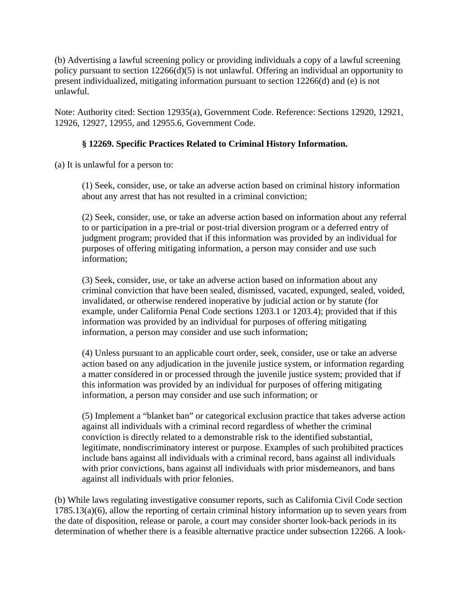(b) Advertising a lawful screening policy or providing individuals a copy of a lawful screening policy pursuant to section 12266(d)(5) is not unlawful. Offering an individual an opportunity to present individualized, mitigating information pursuant to section 12266(d) and (e) is not unlawful.

Note: Authority cited: Section 12935(a), Government Code. Reference: Sections 12920, 12921, 12926, 12927, 12955, and 12955.6, Government Code.

# **§ 12269. Specific Practices Related to Criminal History Information.**

(a) It is unlawful for a person to:

(1) Seek, consider, use, or take an adverse action based on criminal history information about any arrest that has not resulted in a criminal conviction;

(2) Seek, consider, use, or take an adverse action based on information about any referral to or participation in a pre-trial or post-trial diversion program or a deferred entry of judgment program; provided that if this information was provided by an individual for purposes of offering mitigating information, a person may consider and use such information;

(3) Seek, consider, use, or take an adverse action based on information about any criminal conviction that have been sealed, dismissed, vacated, expunged, sealed, voided, invalidated, or otherwise rendered inoperative by judicial action or by statute (for example, under California Penal Code sections 1203.1 or 1203.4); provided that if this information was provided by an individual for purposes of offering mitigating information, a person may consider and use such information;

(4) Unless pursuant to an applicable court order, seek, consider, use or take an adverse action based on any adjudication in the juvenile justice system, or information regarding a matter considered in or processed through the juvenile justice system; provided that if this information was provided by an individual for purposes of offering mitigating information, a person may consider and use such information; or

(5) Implement a "blanket ban" or categorical exclusion practice that takes adverse action against all individuals with a criminal record regardless of whether the criminal conviction is directly related to a demonstrable risk to the identified substantial, legitimate, nondiscriminatory interest or purpose. Examples of such prohibited practices include bans against all individuals with a criminal record, bans against all individuals with prior convictions, bans against all individuals with prior misdemeanors, and bans against all individuals with prior felonies.

(b) While laws regulating investigative consumer reports, such as California Civil Code section 1785.13(a)(6), allow the reporting of certain criminal history information up to seven years from the date of disposition, release or parole, a court may consider shorter look-back periods in its determination of whether there is a feasible alternative practice under subsection 12266. A look